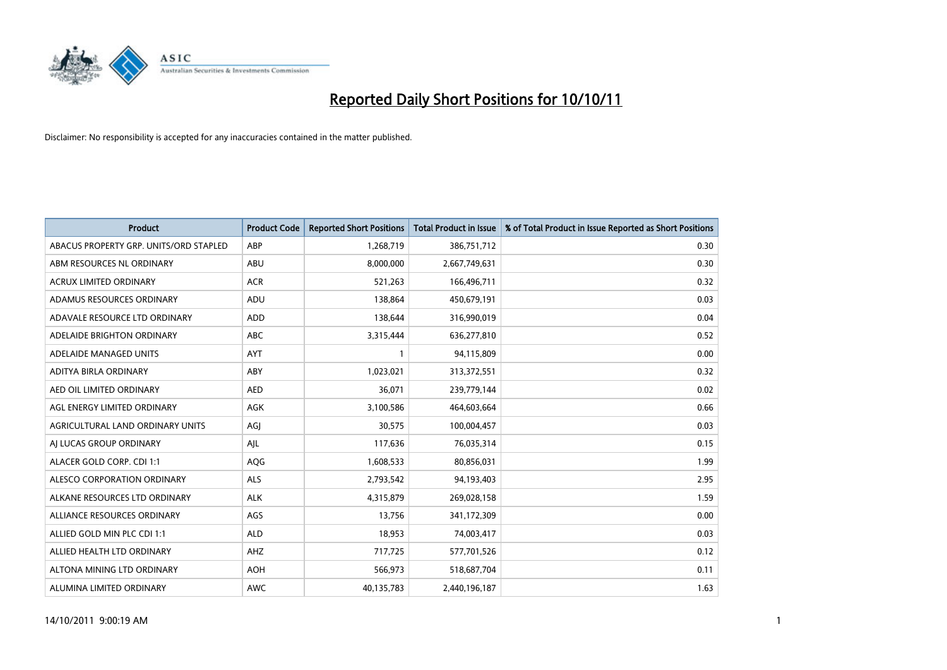

| <b>Product</b>                         | <b>Product Code</b> | <b>Reported Short Positions</b> | Total Product in Issue | % of Total Product in Issue Reported as Short Positions |
|----------------------------------------|---------------------|---------------------------------|------------------------|---------------------------------------------------------|
| ABACUS PROPERTY GRP. UNITS/ORD STAPLED | ABP                 | 1,268,719                       | 386,751,712            | 0.30                                                    |
| ABM RESOURCES NL ORDINARY              | ABU                 | 8,000,000                       | 2,667,749,631          | 0.30                                                    |
| <b>ACRUX LIMITED ORDINARY</b>          | <b>ACR</b>          | 521,263                         | 166,496,711            | 0.32                                                    |
| ADAMUS RESOURCES ORDINARY              | ADU                 | 138,864                         | 450,679,191            | 0.03                                                    |
| ADAVALE RESOURCE LTD ORDINARY          | ADD                 | 138,644                         | 316,990,019            | 0.04                                                    |
| ADELAIDE BRIGHTON ORDINARY             | <b>ABC</b>          | 3,315,444                       | 636,277,810            | 0.52                                                    |
| ADELAIDE MANAGED UNITS                 | <b>AYT</b>          |                                 | 94,115,809             | 0.00                                                    |
| ADITYA BIRLA ORDINARY                  | ABY                 | 1,023,021                       | 313,372,551            | 0.32                                                    |
| AED OIL LIMITED ORDINARY               | <b>AED</b>          | 36,071                          | 239,779,144            | 0.02                                                    |
| AGL ENERGY LIMITED ORDINARY            | <b>AGK</b>          | 3,100,586                       | 464,603,664            | 0.66                                                    |
| AGRICULTURAL LAND ORDINARY UNITS       | AGJ                 | 30,575                          | 100,004,457            | 0.03                                                    |
| AI LUCAS GROUP ORDINARY                | AJL                 | 117,636                         | 76,035,314             | 0.15                                                    |
| ALACER GOLD CORP. CDI 1:1              | AQG                 | 1,608,533                       | 80,856,031             | 1.99                                                    |
| ALESCO CORPORATION ORDINARY            | ALS                 | 2,793,542                       | 94,193,403             | 2.95                                                    |
| ALKANE RESOURCES LTD ORDINARY          | <b>ALK</b>          | 4,315,879                       | 269,028,158            | 1.59                                                    |
| ALLIANCE RESOURCES ORDINARY            | AGS                 | 13,756                          | 341,172,309            | 0.00                                                    |
| ALLIED GOLD MIN PLC CDI 1:1            | <b>ALD</b>          | 18,953                          | 74,003,417             | 0.03                                                    |
| ALLIED HEALTH LTD ORDINARY             | AHZ                 | 717,725                         | 577,701,526            | 0.12                                                    |
| ALTONA MINING LTD ORDINARY             | <b>AOH</b>          | 566,973                         | 518,687,704            | 0.11                                                    |
| ALUMINA LIMITED ORDINARY               | <b>AWC</b>          | 40,135,783                      | 2,440,196,187          | 1.63                                                    |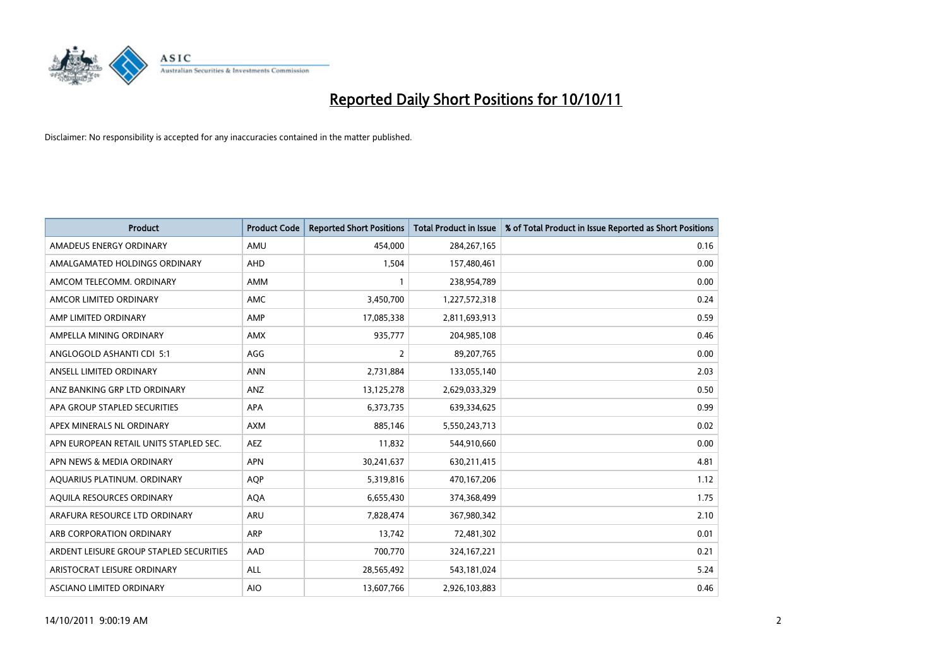

| <b>Product</b>                          | <b>Product Code</b> | <b>Reported Short Positions</b> | <b>Total Product in Issue</b> | % of Total Product in Issue Reported as Short Positions |
|-----------------------------------------|---------------------|---------------------------------|-------------------------------|---------------------------------------------------------|
| AMADEUS ENERGY ORDINARY                 | AMU                 | 454,000                         | 284,267,165                   | 0.16                                                    |
| AMALGAMATED HOLDINGS ORDINARY           | <b>AHD</b>          | 1,504                           | 157,480,461                   | 0.00                                                    |
| AMCOM TELECOMM. ORDINARY                | <b>AMM</b>          |                                 | 238,954,789                   | 0.00                                                    |
| AMCOR LIMITED ORDINARY                  | <b>AMC</b>          | 3,450,700                       | 1,227,572,318                 | 0.24                                                    |
| AMP LIMITED ORDINARY                    | AMP                 | 17,085,338                      | 2,811,693,913                 | 0.59                                                    |
| AMPELLA MINING ORDINARY                 | <b>AMX</b>          | 935,777                         | 204,985,108                   | 0.46                                                    |
| ANGLOGOLD ASHANTI CDI 5:1               | AGG                 | 2                               | 89,207,765                    | 0.00                                                    |
| ANSELL LIMITED ORDINARY                 | <b>ANN</b>          | 2,731,884                       | 133,055,140                   | 2.03                                                    |
| ANZ BANKING GRP LTD ORDINARY            | ANZ                 | 13,125,278                      | 2,629,033,329                 | 0.50                                                    |
| APA GROUP STAPLED SECURITIES            | <b>APA</b>          | 6,373,735                       | 639,334,625                   | 0.99                                                    |
| APEX MINERALS NL ORDINARY               | <b>AXM</b>          | 885,146                         | 5,550,243,713                 | 0.02                                                    |
| APN EUROPEAN RETAIL UNITS STAPLED SEC.  | <b>AEZ</b>          | 11,832                          | 544,910,660                   | 0.00                                                    |
| APN NEWS & MEDIA ORDINARY               | <b>APN</b>          | 30,241,637                      | 630,211,415                   | 4.81                                                    |
| AQUARIUS PLATINUM. ORDINARY             | <b>AOP</b>          | 5,319,816                       | 470,167,206                   | 1.12                                                    |
| AQUILA RESOURCES ORDINARY               | <b>AQA</b>          | 6,655,430                       | 374,368,499                   | 1.75                                                    |
| ARAFURA RESOURCE LTD ORDINARY           | <b>ARU</b>          | 7,828,474                       | 367,980,342                   | 2.10                                                    |
| ARB CORPORATION ORDINARY                | <b>ARP</b>          | 13,742                          | 72,481,302                    | 0.01                                                    |
| ARDENT LEISURE GROUP STAPLED SECURITIES | AAD                 | 700,770                         | 324, 167, 221                 | 0.21                                                    |
| ARISTOCRAT LEISURE ORDINARY             | <b>ALL</b>          | 28,565,492                      | 543,181,024                   | 5.24                                                    |
| ASCIANO LIMITED ORDINARY                | <b>AIO</b>          | 13,607,766                      | 2,926,103,883                 | 0.46                                                    |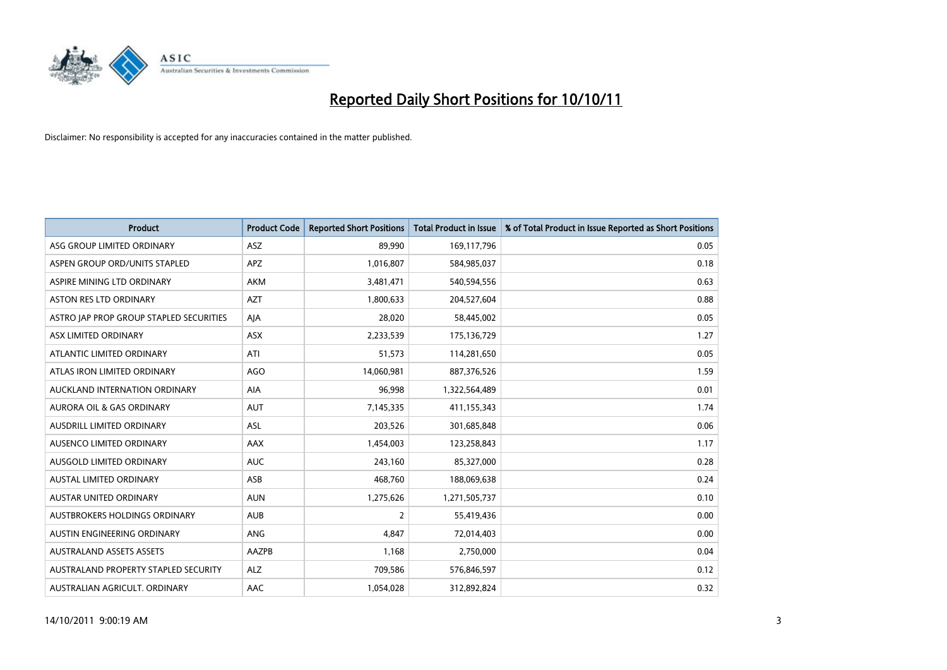

| <b>Product</b>                          | <b>Product Code</b> | <b>Reported Short Positions</b> | <b>Total Product in Issue</b> | % of Total Product in Issue Reported as Short Positions |
|-----------------------------------------|---------------------|---------------------------------|-------------------------------|---------------------------------------------------------|
| ASG GROUP LIMITED ORDINARY              | <b>ASZ</b>          | 89.990                          | 169,117,796                   | 0.05                                                    |
| ASPEN GROUP ORD/UNITS STAPLED           | <b>APZ</b>          | 1,016,807                       | 584,985,037                   | 0.18                                                    |
| ASPIRE MINING LTD ORDINARY              | <b>AKM</b>          | 3,481,471                       | 540,594,556                   | 0.63                                                    |
| <b>ASTON RES LTD ORDINARY</b>           | <b>AZT</b>          | 1,800,633                       | 204,527,604                   | 0.88                                                    |
| ASTRO JAP PROP GROUP STAPLED SECURITIES | AIA                 | 28,020                          | 58,445,002                    | 0.05                                                    |
| ASX LIMITED ORDINARY                    | <b>ASX</b>          | 2,233,539                       | 175,136,729                   | 1.27                                                    |
| ATLANTIC LIMITED ORDINARY               | ATI                 | 51,573                          | 114,281,650                   | 0.05                                                    |
| ATLAS IRON LIMITED ORDINARY             | <b>AGO</b>          | 14,060,981                      | 887,376,526                   | 1.59                                                    |
| AUCKLAND INTERNATION ORDINARY           | AIA                 | 96,998                          | 1,322,564,489                 | 0.01                                                    |
| <b>AURORA OIL &amp; GAS ORDINARY</b>    | <b>AUT</b>          | 7,145,335                       | 411,155,343                   | 1.74                                                    |
| AUSDRILL LIMITED ORDINARY               | ASL                 | 203,526                         | 301,685,848                   | 0.06                                                    |
| <b>AUSENCO LIMITED ORDINARY</b>         | AAX                 | 1,454,003                       | 123,258,843                   | 1.17                                                    |
| AUSGOLD LIMITED ORDINARY                | <b>AUC</b>          | 243,160                         | 85,327,000                    | 0.28                                                    |
| <b>AUSTAL LIMITED ORDINARY</b>          | ASB                 | 468,760                         | 188,069,638                   | 0.24                                                    |
| <b>AUSTAR UNITED ORDINARY</b>           | <b>AUN</b>          | 1,275,626                       | 1,271,505,737                 | 0.10                                                    |
| AUSTBROKERS HOLDINGS ORDINARY           | <b>AUB</b>          | 2                               | 55,419,436                    | 0.00                                                    |
| AUSTIN ENGINEERING ORDINARY             | ANG                 | 4,847                           | 72,014,403                    | 0.00                                                    |
| <b>AUSTRALAND ASSETS ASSETS</b>         | AAZPB               | 1,168                           | 2,750,000                     | 0.04                                                    |
| AUSTRALAND PROPERTY STAPLED SECURITY    | <b>ALZ</b>          | 709,586                         | 576,846,597                   | 0.12                                                    |
| AUSTRALIAN AGRICULT. ORDINARY           | AAC                 | 1,054,028                       | 312,892,824                   | 0.32                                                    |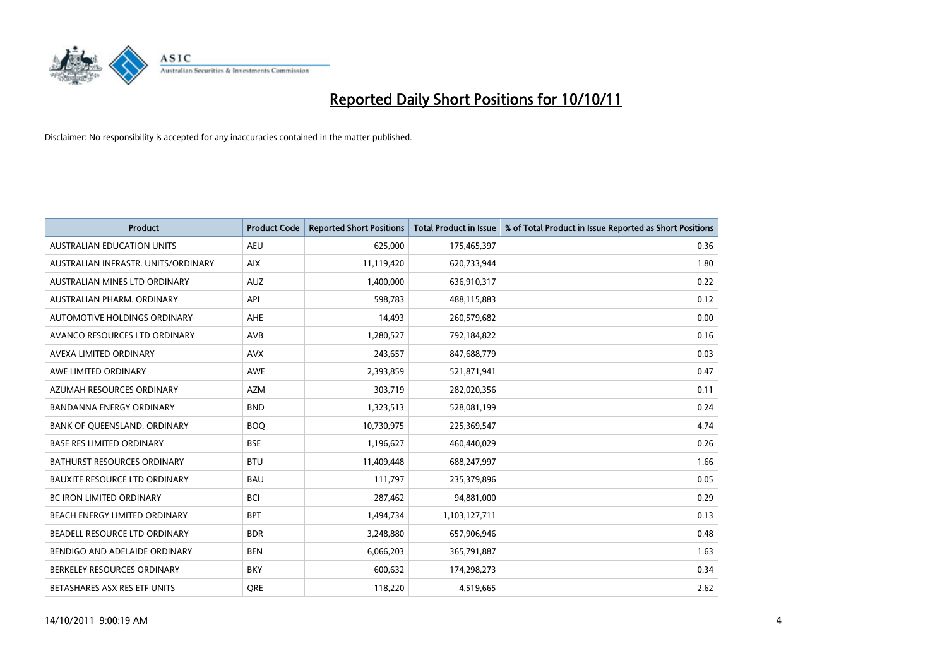

| <b>Product</b>                       | <b>Product Code</b> | <b>Reported Short Positions</b> | Total Product in Issue | % of Total Product in Issue Reported as Short Positions |
|--------------------------------------|---------------------|---------------------------------|------------------------|---------------------------------------------------------|
| <b>AUSTRALIAN EDUCATION UNITS</b>    | <b>AEU</b>          | 625,000                         | 175,465,397            | 0.36                                                    |
| AUSTRALIAN INFRASTR. UNITS/ORDINARY  | <b>AIX</b>          | 11,119,420                      | 620,733,944            | 1.80                                                    |
| AUSTRALIAN MINES LTD ORDINARY        | <b>AUZ</b>          | 1,400,000                       | 636,910,317            | 0.22                                                    |
| AUSTRALIAN PHARM. ORDINARY           | API                 | 598,783                         | 488,115,883            | 0.12                                                    |
| AUTOMOTIVE HOLDINGS ORDINARY         | AHE                 | 14,493                          | 260,579,682            | 0.00                                                    |
| AVANCO RESOURCES LTD ORDINARY        | AVB                 | 1,280,527                       | 792,184,822            | 0.16                                                    |
| AVEXA LIMITED ORDINARY               | <b>AVX</b>          | 243,657                         | 847,688,779            | 0.03                                                    |
| AWE LIMITED ORDINARY                 | AWE                 | 2,393,859                       | 521,871,941            | 0.47                                                    |
| AZUMAH RESOURCES ORDINARY            | <b>AZM</b>          | 303,719                         | 282,020,356            | 0.11                                                    |
| <b>BANDANNA ENERGY ORDINARY</b>      | <b>BND</b>          | 1,323,513                       | 528,081,199            | 0.24                                                    |
| BANK OF QUEENSLAND. ORDINARY         | <b>BOQ</b>          | 10,730,975                      | 225,369,547            | 4.74                                                    |
| <b>BASE RES LIMITED ORDINARY</b>     | <b>BSE</b>          | 1,196,627                       | 460,440,029            | 0.26                                                    |
| <b>BATHURST RESOURCES ORDINARY</b>   | <b>BTU</b>          | 11,409,448                      | 688,247,997            | 1.66                                                    |
| <b>BAUXITE RESOURCE LTD ORDINARY</b> | <b>BAU</b>          | 111,797                         | 235,379,896            | 0.05                                                    |
| <b>BC IRON LIMITED ORDINARY</b>      | <b>BCI</b>          | 287,462                         | 94,881,000             | 0.29                                                    |
| BEACH ENERGY LIMITED ORDINARY        | <b>BPT</b>          | 1,494,734                       | 1,103,127,711          | 0.13                                                    |
| BEADELL RESOURCE LTD ORDINARY        | <b>BDR</b>          | 3,248,880                       | 657,906,946            | 0.48                                                    |
| BENDIGO AND ADELAIDE ORDINARY        | <b>BEN</b>          | 6,066,203                       | 365,791,887            | 1.63                                                    |
| BERKELEY RESOURCES ORDINARY          | <b>BKY</b>          | 600,632                         | 174,298,273            | 0.34                                                    |
| BETASHARES ASX RES ETF UNITS         | <b>ORE</b>          | 118,220                         | 4,519,665              | 2.62                                                    |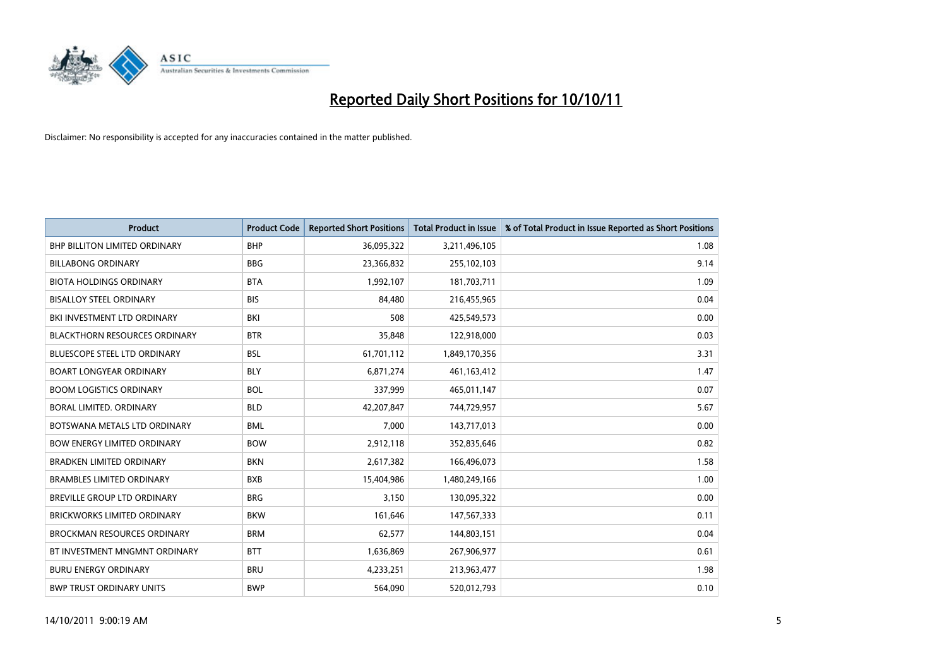

| <b>Product</b>                       | <b>Product Code</b> | <b>Reported Short Positions</b> | <b>Total Product in Issue</b> | % of Total Product in Issue Reported as Short Positions |
|--------------------------------------|---------------------|---------------------------------|-------------------------------|---------------------------------------------------------|
| <b>BHP BILLITON LIMITED ORDINARY</b> | <b>BHP</b>          | 36,095,322                      | 3,211,496,105                 | 1.08                                                    |
| <b>BILLABONG ORDINARY</b>            | <b>BBG</b>          | 23,366,832                      | 255,102,103                   | 9.14                                                    |
| <b>BIOTA HOLDINGS ORDINARY</b>       | <b>BTA</b>          | 1,992,107                       | 181,703,711                   | 1.09                                                    |
| <b>BISALLOY STEEL ORDINARY</b>       | <b>BIS</b>          | 84,480                          | 216,455,965                   | 0.04                                                    |
| BKI INVESTMENT LTD ORDINARY          | BKI                 | 508                             | 425,549,573                   | 0.00                                                    |
| <b>BLACKTHORN RESOURCES ORDINARY</b> | <b>BTR</b>          | 35,848                          | 122,918,000                   | 0.03                                                    |
| <b>BLUESCOPE STEEL LTD ORDINARY</b>  | <b>BSL</b>          | 61,701,112                      | 1,849,170,356                 | 3.31                                                    |
| <b>BOART LONGYEAR ORDINARY</b>       | <b>BLY</b>          | 6,871,274                       | 461,163,412                   | 1.47                                                    |
| <b>BOOM LOGISTICS ORDINARY</b>       | <b>BOL</b>          | 337,999                         | 465,011,147                   | 0.07                                                    |
| BORAL LIMITED, ORDINARY              | <b>BLD</b>          | 42,207,847                      | 744,729,957                   | 5.67                                                    |
| BOTSWANA METALS LTD ORDINARY         | <b>BML</b>          | 7,000                           | 143,717,013                   | 0.00                                                    |
| <b>BOW ENERGY LIMITED ORDINARY</b>   | <b>BOW</b>          | 2,912,118                       | 352,835,646                   | 0.82                                                    |
| BRADKEN LIMITED ORDINARY             | <b>BKN</b>          | 2,617,382                       | 166,496,073                   | 1.58                                                    |
| <b>BRAMBLES LIMITED ORDINARY</b>     | <b>BXB</b>          | 15,404,986                      | 1,480,249,166                 | 1.00                                                    |
| <b>BREVILLE GROUP LTD ORDINARY</b>   | <b>BRG</b>          | 3,150                           | 130,095,322                   | 0.00                                                    |
| BRICKWORKS LIMITED ORDINARY          | <b>BKW</b>          | 161,646                         | 147,567,333                   | 0.11                                                    |
| <b>BROCKMAN RESOURCES ORDINARY</b>   | <b>BRM</b>          | 62,577                          | 144,803,151                   | 0.04                                                    |
| BT INVESTMENT MNGMNT ORDINARY        | <b>BTT</b>          | 1,636,869                       | 267,906,977                   | 0.61                                                    |
| <b>BURU ENERGY ORDINARY</b>          | <b>BRU</b>          | 4,233,251                       | 213,963,477                   | 1.98                                                    |
| <b>BWP TRUST ORDINARY UNITS</b>      | <b>BWP</b>          | 564.090                         | 520,012,793                   | 0.10                                                    |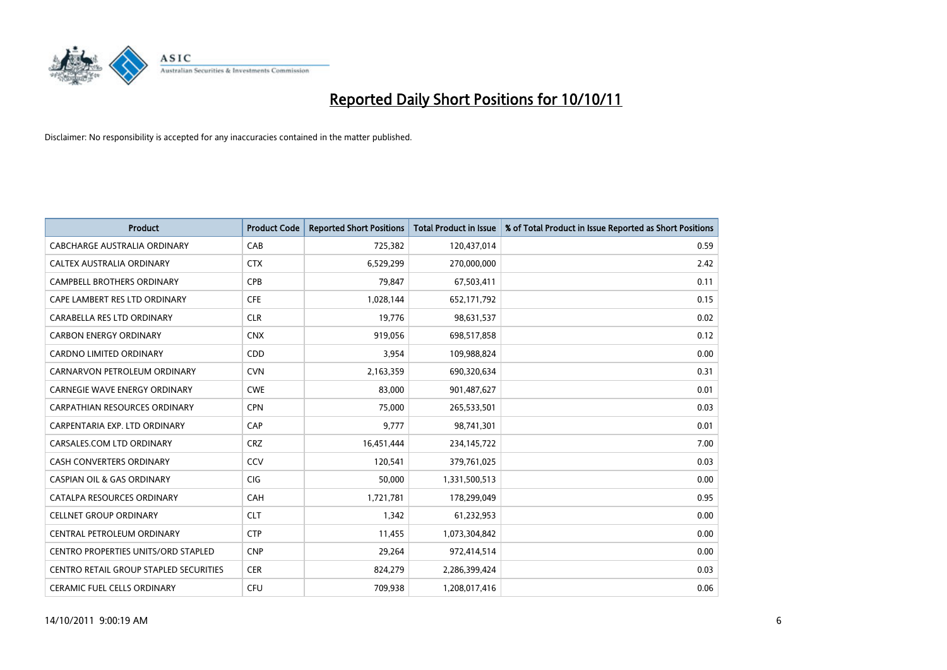

| <b>Product</b>                             | <b>Product Code</b> | <b>Reported Short Positions</b> | <b>Total Product in Issue</b> | % of Total Product in Issue Reported as Short Positions |
|--------------------------------------------|---------------------|---------------------------------|-------------------------------|---------------------------------------------------------|
| <b>CABCHARGE AUSTRALIA ORDINARY</b>        | CAB                 | 725,382                         | 120,437,014                   | 0.59                                                    |
| CALTEX AUSTRALIA ORDINARY                  | <b>CTX</b>          | 6,529,299                       | 270,000,000                   | 2.42                                                    |
| <b>CAMPBELL BROTHERS ORDINARY</b>          | CPB                 | 79,847                          | 67,503,411                    | 0.11                                                    |
| CAPE LAMBERT RES LTD ORDINARY              | <b>CFE</b>          | 1,028,144                       | 652,171,792                   | 0.15                                                    |
| CARABELLA RES LTD ORDINARY                 | <b>CLR</b>          | 19,776                          | 98,631,537                    | 0.02                                                    |
| <b>CARBON ENERGY ORDINARY</b>              | <b>CNX</b>          | 919,056                         | 698,517,858                   | 0.12                                                    |
| <b>CARDNO LIMITED ORDINARY</b>             | CDD                 | 3,954                           | 109,988,824                   | 0.00                                                    |
| CARNARVON PETROLEUM ORDINARY               | <b>CVN</b>          | 2,163,359                       | 690,320,634                   | 0.31                                                    |
| CARNEGIE WAVE ENERGY ORDINARY              | <b>CWE</b>          | 83,000                          | 901,487,627                   | 0.01                                                    |
| CARPATHIAN RESOURCES ORDINARY              | <b>CPN</b>          | 75,000                          | 265,533,501                   | 0.03                                                    |
| CARPENTARIA EXP. LTD ORDINARY              | CAP                 | 9,777                           | 98,741,301                    | 0.01                                                    |
| CARSALES.COM LTD ORDINARY                  | <b>CRZ</b>          | 16,451,444                      | 234,145,722                   | 7.00                                                    |
| CASH CONVERTERS ORDINARY                   | CCV                 | 120,541                         | 379,761,025                   | 0.03                                                    |
| <b>CASPIAN OIL &amp; GAS ORDINARY</b>      | <b>CIG</b>          | 50,000                          | 1,331,500,513                 | 0.00                                                    |
| CATALPA RESOURCES ORDINARY                 | CAH                 | 1,721,781                       | 178,299,049                   | 0.95                                                    |
| <b>CELLNET GROUP ORDINARY</b>              | <b>CLT</b>          | 1,342                           | 61,232,953                    | 0.00                                                    |
| CENTRAL PETROLEUM ORDINARY                 | <b>CTP</b>          | 11,455                          | 1,073,304,842                 | 0.00                                                    |
| <b>CENTRO PROPERTIES UNITS/ORD STAPLED</b> | <b>CNP</b>          | 29,264                          | 972,414,514                   | 0.00                                                    |
| CENTRO RETAIL GROUP STAPLED SECURITIES     | <b>CER</b>          | 824,279                         | 2,286,399,424                 | 0.03                                                    |
| <b>CERAMIC FUEL CELLS ORDINARY</b>         | <b>CFU</b>          | 709.938                         | 1,208,017,416                 | 0.06                                                    |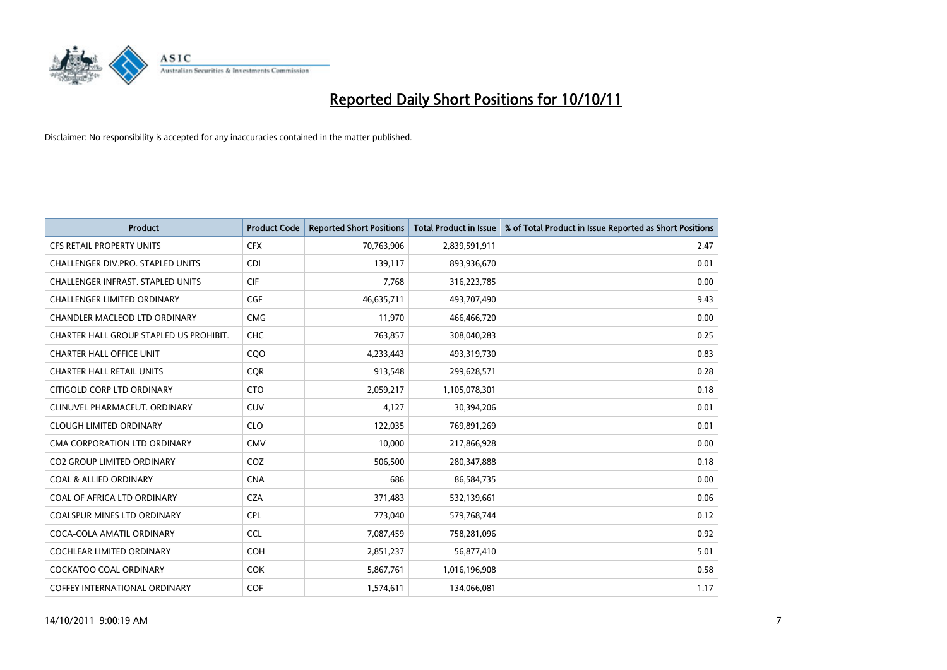

| <b>Product</b>                           | <b>Product Code</b> | <b>Reported Short Positions</b> | <b>Total Product in Issue</b> | % of Total Product in Issue Reported as Short Positions |
|------------------------------------------|---------------------|---------------------------------|-------------------------------|---------------------------------------------------------|
| <b>CFS RETAIL PROPERTY UNITS</b>         | <b>CFX</b>          | 70,763,906                      | 2,839,591,911                 | 2.47                                                    |
| CHALLENGER DIV.PRO. STAPLED UNITS        | <b>CDI</b>          | 139,117                         | 893,936,670                   | 0.01                                                    |
| <b>CHALLENGER INFRAST, STAPLED UNITS</b> | <b>CIF</b>          | 7,768                           | 316,223,785                   | 0.00                                                    |
| CHALLENGER LIMITED ORDINARY              | <b>CGF</b>          | 46,635,711                      | 493,707,490                   | 9.43                                                    |
| CHANDLER MACLEOD LTD ORDINARY            | <b>CMG</b>          | 11,970                          | 466,466,720                   | 0.00                                                    |
| CHARTER HALL GROUP STAPLED US PROHIBIT.  | <b>CHC</b>          | 763,857                         | 308,040,283                   | 0.25                                                    |
| <b>CHARTER HALL OFFICE UNIT</b>          | CQ <sub>O</sub>     | 4,233,443                       | 493,319,730                   | 0.83                                                    |
| <b>CHARTER HALL RETAIL UNITS</b>         | <b>COR</b>          | 913,548                         | 299,628,571                   | 0.28                                                    |
| CITIGOLD CORP LTD ORDINARY               | <b>CTO</b>          | 2,059,217                       | 1,105,078,301                 | 0.18                                                    |
| CLINUVEL PHARMACEUT, ORDINARY            | <b>CUV</b>          | 4,127                           | 30,394,206                    | 0.01                                                    |
| <b>CLOUGH LIMITED ORDINARY</b>           | <b>CLO</b>          | 122,035                         | 769,891,269                   | 0.01                                                    |
| CMA CORPORATION LTD ORDINARY             | <b>CMV</b>          | 10,000                          | 217,866,928                   | 0.00                                                    |
| <b>CO2 GROUP LIMITED ORDINARY</b>        | COZ                 | 506,500                         | 280,347,888                   | 0.18                                                    |
| <b>COAL &amp; ALLIED ORDINARY</b>        | <b>CNA</b>          | 686                             | 86,584,735                    | 0.00                                                    |
| COAL OF AFRICA LTD ORDINARY              | <b>CZA</b>          | 371,483                         | 532,139,661                   | 0.06                                                    |
| <b>COALSPUR MINES LTD ORDINARY</b>       | <b>CPL</b>          | 773,040                         | 579,768,744                   | 0.12                                                    |
| COCA-COLA AMATIL ORDINARY                | <b>CCL</b>          | 7,087,459                       | 758,281,096                   | 0.92                                                    |
| COCHLEAR LIMITED ORDINARY                | <b>COH</b>          | 2,851,237                       | 56,877,410                    | 5.01                                                    |
| <b>COCKATOO COAL ORDINARY</b>            | <b>COK</b>          | 5,867,761                       | 1,016,196,908                 | 0.58                                                    |
| <b>COFFEY INTERNATIONAL ORDINARY</b>     | COF                 | 1,574,611                       | 134,066,081                   | 1.17                                                    |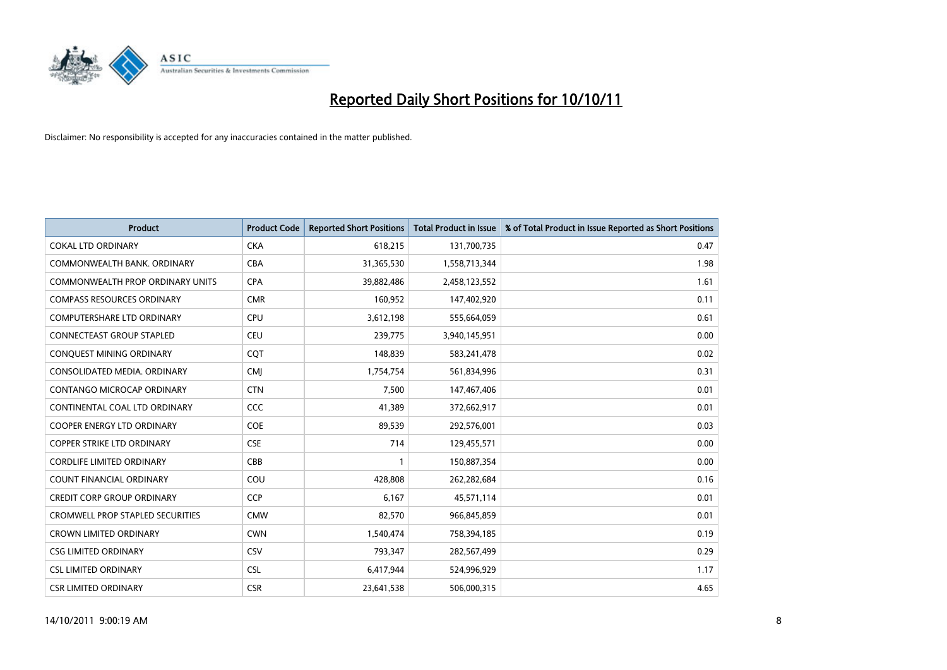

| <b>Product</b>                          | <b>Product Code</b> | <b>Reported Short Positions</b> | <b>Total Product in Issue</b> | % of Total Product in Issue Reported as Short Positions |
|-----------------------------------------|---------------------|---------------------------------|-------------------------------|---------------------------------------------------------|
| <b>COKAL LTD ORDINARY</b>               | <b>CKA</b>          | 618,215                         | 131,700,735                   | 0.47                                                    |
| COMMONWEALTH BANK, ORDINARY             | <b>CBA</b>          | 31,365,530                      | 1,558,713,344                 | 1.98                                                    |
| <b>COMMONWEALTH PROP ORDINARY UNITS</b> | <b>CPA</b>          | 39,882,486                      | 2,458,123,552                 | 1.61                                                    |
| <b>COMPASS RESOURCES ORDINARY</b>       | <b>CMR</b>          | 160,952                         | 147,402,920                   | 0.11                                                    |
| <b>COMPUTERSHARE LTD ORDINARY</b>       | <b>CPU</b>          | 3,612,198                       | 555,664,059                   | 0.61                                                    |
| CONNECTEAST GROUP STAPLED               | <b>CEU</b>          | 239,775                         | 3,940,145,951                 | 0.00                                                    |
| CONQUEST MINING ORDINARY                | COT                 | 148,839                         | 583,241,478                   | 0.02                                                    |
| CONSOLIDATED MEDIA, ORDINARY            | <b>CMJ</b>          | 1,754,754                       | 561,834,996                   | 0.31                                                    |
| CONTANGO MICROCAP ORDINARY              | <b>CTN</b>          | 7,500                           | 147,467,406                   | 0.01                                                    |
| CONTINENTAL COAL LTD ORDINARY           | <b>CCC</b>          | 41,389                          | 372,662,917                   | 0.01                                                    |
| <b>COOPER ENERGY LTD ORDINARY</b>       | <b>COE</b>          | 89,539                          | 292,576,001                   | 0.03                                                    |
| <b>COPPER STRIKE LTD ORDINARY</b>       | <b>CSE</b>          | 714                             | 129,455,571                   | 0.00                                                    |
| <b>CORDLIFE LIMITED ORDINARY</b>        | CBB                 |                                 | 150,887,354                   | 0.00                                                    |
| <b>COUNT FINANCIAL ORDINARY</b>         | COU                 | 428,808                         | 262,282,684                   | 0.16                                                    |
| <b>CREDIT CORP GROUP ORDINARY</b>       | <b>CCP</b>          | 6,167                           | 45,571,114                    | 0.01                                                    |
| <b>CROMWELL PROP STAPLED SECURITIES</b> | <b>CMW</b>          | 82,570                          | 966,845,859                   | 0.01                                                    |
| <b>CROWN LIMITED ORDINARY</b>           | <b>CWN</b>          | 1,540,474                       | 758,394,185                   | 0.19                                                    |
| <b>CSG LIMITED ORDINARY</b>             | CSV                 | 793,347                         | 282,567,499                   | 0.29                                                    |
| <b>CSL LIMITED ORDINARY</b>             | <b>CSL</b>          | 6,417,944                       | 524,996,929                   | 1.17                                                    |
| <b>CSR LIMITED ORDINARY</b>             | <b>CSR</b>          | 23,641,538                      | 506,000,315                   | 4.65                                                    |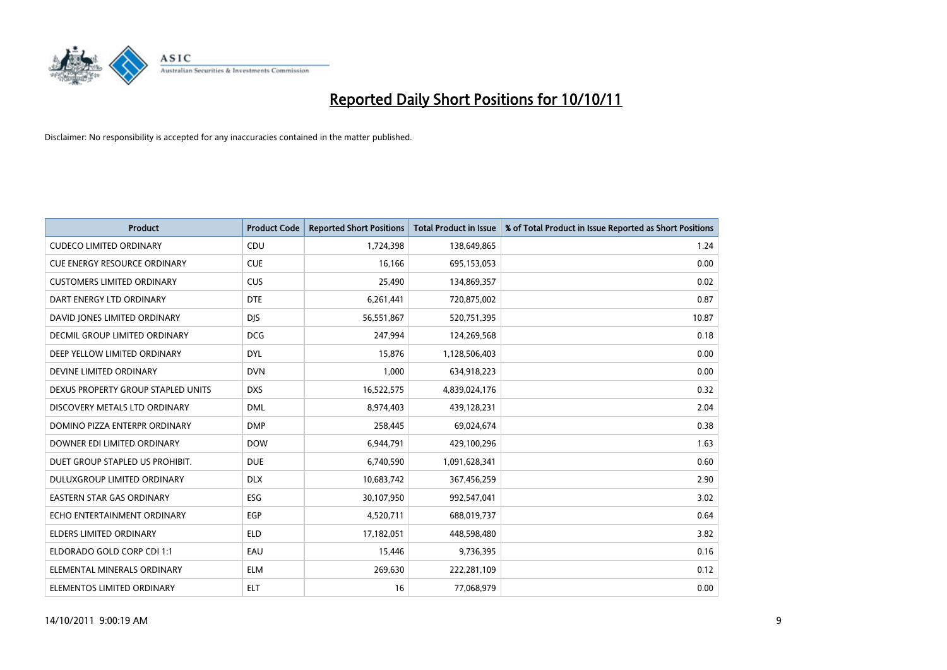

| <b>Product</b>                      | <b>Product Code</b> | <b>Reported Short Positions</b> | <b>Total Product in Issue</b> | % of Total Product in Issue Reported as Short Positions |
|-------------------------------------|---------------------|---------------------------------|-------------------------------|---------------------------------------------------------|
| <b>CUDECO LIMITED ORDINARY</b>      | CDU                 | 1,724,398                       | 138,649,865                   | 1.24                                                    |
| <b>CUE ENERGY RESOURCE ORDINARY</b> | <b>CUE</b>          | 16,166                          | 695,153,053                   | 0.00                                                    |
| <b>CUSTOMERS LIMITED ORDINARY</b>   | <b>CUS</b>          | 25,490                          | 134,869,357                   | 0.02                                                    |
| DART ENERGY LTD ORDINARY            | <b>DTE</b>          | 6,261,441                       | 720,875,002                   | 0.87                                                    |
| DAVID JONES LIMITED ORDINARY        | <b>DIS</b>          | 56,551,867                      | 520,751,395                   | 10.87                                                   |
| DECMIL GROUP LIMITED ORDINARY       | <b>DCG</b>          | 247,994                         | 124,269,568                   | 0.18                                                    |
| DEEP YELLOW LIMITED ORDINARY        | <b>DYL</b>          | 15,876                          | 1,128,506,403                 | 0.00                                                    |
| DEVINE LIMITED ORDINARY             | <b>DVN</b>          | 1,000                           | 634,918,223                   | 0.00                                                    |
| DEXUS PROPERTY GROUP STAPLED UNITS  | <b>DXS</b>          | 16,522,575                      | 4,839,024,176                 | 0.32                                                    |
| DISCOVERY METALS LTD ORDINARY       | <b>DML</b>          | 8,974,403                       | 439,128,231                   | 2.04                                                    |
| DOMINO PIZZA ENTERPR ORDINARY       | <b>DMP</b>          | 258,445                         | 69,024,674                    | 0.38                                                    |
| DOWNER EDI LIMITED ORDINARY         | <b>DOW</b>          | 6,944,791                       | 429,100,296                   | 1.63                                                    |
| DUET GROUP STAPLED US PROHIBIT.     | <b>DUE</b>          | 6,740,590                       | 1,091,628,341                 | 0.60                                                    |
| DULUXGROUP LIMITED ORDINARY         | <b>DLX</b>          | 10,683,742                      | 367,456,259                   | 2.90                                                    |
| <b>EASTERN STAR GAS ORDINARY</b>    | <b>ESG</b>          | 30,107,950                      | 992,547,041                   | 3.02                                                    |
| ECHO ENTERTAINMENT ORDINARY         | <b>EGP</b>          | 4,520,711                       | 688,019,737                   | 0.64                                                    |
| ELDERS LIMITED ORDINARY             | <b>ELD</b>          | 17,182,051                      | 448,598,480                   | 3.82                                                    |
| ELDORADO GOLD CORP CDI 1:1          | EAU                 | 15,446                          | 9,736,395                     | 0.16                                                    |
| ELEMENTAL MINERALS ORDINARY         | <b>ELM</b>          | 269,630                         | 222,281,109                   | 0.12                                                    |
| ELEMENTOS LIMITED ORDINARY          | <b>ELT</b>          | 16                              | 77,068,979                    | 0.00                                                    |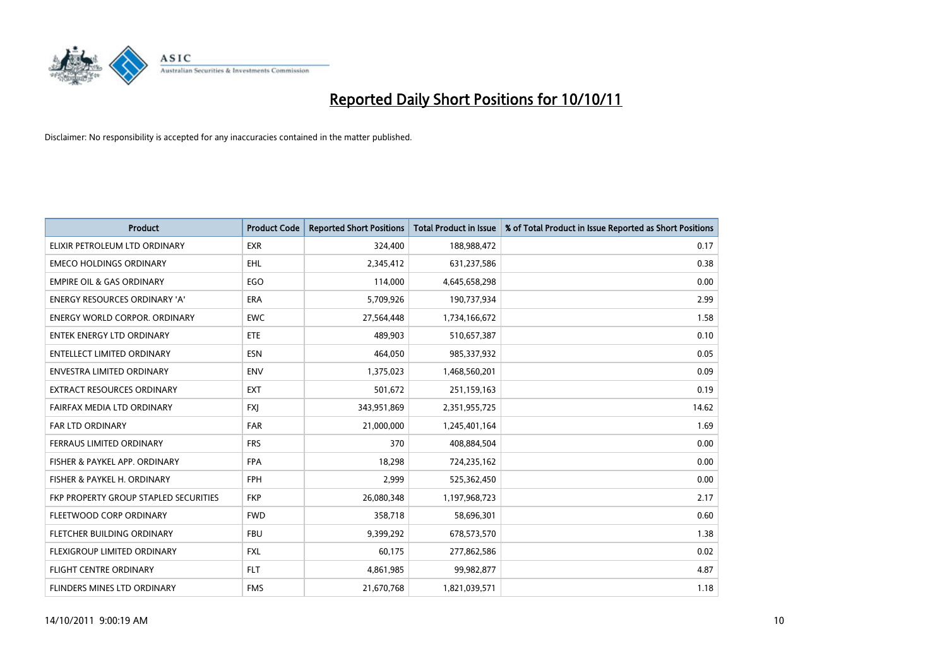

| <b>Product</b>                        | <b>Product Code</b> | <b>Reported Short Positions</b> | <b>Total Product in Issue</b> | % of Total Product in Issue Reported as Short Positions |
|---------------------------------------|---------------------|---------------------------------|-------------------------------|---------------------------------------------------------|
| ELIXIR PETROLEUM LTD ORDINARY         | <b>EXR</b>          | 324,400                         | 188,988,472                   | 0.17                                                    |
| <b>EMECO HOLDINGS ORDINARY</b>        | <b>EHL</b>          | 2,345,412                       | 631,237,586                   | 0.38                                                    |
| <b>EMPIRE OIL &amp; GAS ORDINARY</b>  | EGO                 | 114,000                         | 4,645,658,298                 | 0.00                                                    |
| ENERGY RESOURCES ORDINARY 'A'         | ERA                 | 5,709,926                       | 190,737,934                   | 2.99                                                    |
| <b>ENERGY WORLD CORPOR, ORDINARY</b>  | <b>EWC</b>          | 27,564,448                      | 1,734,166,672                 | 1.58                                                    |
| <b>ENTEK ENERGY LTD ORDINARY</b>      | <b>ETE</b>          | 489,903                         | 510,657,387                   | 0.10                                                    |
| <b>ENTELLECT LIMITED ORDINARY</b>     | <b>ESN</b>          | 464,050                         | 985,337,932                   | 0.05                                                    |
| ENVESTRA LIMITED ORDINARY             | <b>ENV</b>          | 1,375,023                       | 1,468,560,201                 | 0.09                                                    |
| <b>EXTRACT RESOURCES ORDINARY</b>     | <b>EXT</b>          | 501,672                         | 251,159,163                   | 0.19                                                    |
| FAIRFAX MEDIA LTD ORDINARY            | <b>FXI</b>          | 343,951,869                     | 2,351,955,725                 | 14.62                                                   |
| FAR LTD ORDINARY                      | <b>FAR</b>          | 21,000,000                      | 1,245,401,164                 | 1.69                                                    |
| <b>FERRAUS LIMITED ORDINARY</b>       | <b>FRS</b>          | 370                             | 408,884,504                   | 0.00                                                    |
| FISHER & PAYKEL APP. ORDINARY         | <b>FPA</b>          | 18,298                          | 724,235,162                   | 0.00                                                    |
| FISHER & PAYKEL H. ORDINARY           | <b>FPH</b>          | 2,999                           | 525,362,450                   | 0.00                                                    |
| FKP PROPERTY GROUP STAPLED SECURITIES | <b>FKP</b>          | 26,080,348                      | 1,197,968,723                 | 2.17                                                    |
| FLEETWOOD CORP ORDINARY               | <b>FWD</b>          | 358,718                         | 58,696,301                    | 0.60                                                    |
| FLETCHER BUILDING ORDINARY            | <b>FBU</b>          | 9,399,292                       | 678,573,570                   | 1.38                                                    |
| FLEXIGROUP LIMITED ORDINARY           | <b>FXL</b>          | 60,175                          | 277,862,586                   | 0.02                                                    |
| FLIGHT CENTRE ORDINARY                | <b>FLT</b>          | 4,861,985                       | 99,982,877                    | 4.87                                                    |
| FLINDERS MINES LTD ORDINARY           | <b>FMS</b>          | 21,670,768                      | 1,821,039,571                 | 1.18                                                    |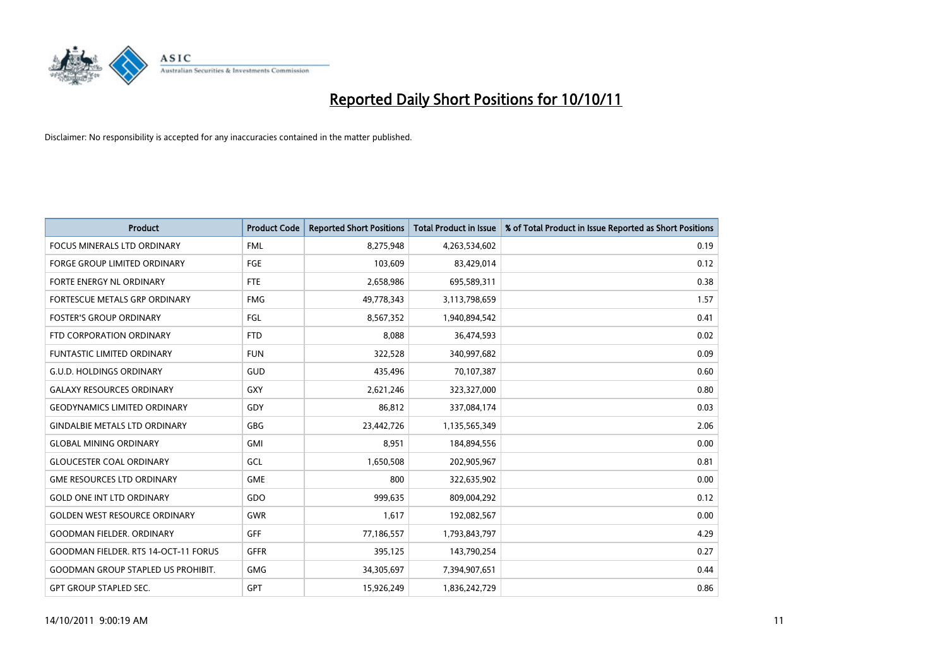

| <b>Product</b>                              | <b>Product Code</b> | <b>Reported Short Positions</b> | <b>Total Product in Issue</b> | % of Total Product in Issue Reported as Short Positions |
|---------------------------------------------|---------------------|---------------------------------|-------------------------------|---------------------------------------------------------|
| <b>FOCUS MINERALS LTD ORDINARY</b>          | <b>FML</b>          | 8,275,948                       | 4,263,534,602                 | 0.19                                                    |
| <b>FORGE GROUP LIMITED ORDINARY</b>         | FGE                 | 103.609                         | 83,429,014                    | 0.12                                                    |
| <b>FORTE ENERGY NL ORDINARY</b>             | <b>FTE</b>          | 2,658,986                       | 695,589,311                   | 0.38                                                    |
| FORTESCUE METALS GRP ORDINARY               | <b>FMG</b>          | 49,778,343                      | 3,113,798,659                 | 1.57                                                    |
| <b>FOSTER'S GROUP ORDINARY</b>              | FGL                 | 8,567,352                       | 1,940,894,542                 | 0.41                                                    |
| FTD CORPORATION ORDINARY                    | <b>FTD</b>          | 8,088                           | 36,474,593                    | 0.02                                                    |
| <b>FUNTASTIC LIMITED ORDINARY</b>           | <b>FUN</b>          | 322,528                         | 340,997,682                   | 0.09                                                    |
| <b>G.U.D. HOLDINGS ORDINARY</b>             | GUD                 | 435,496                         | 70,107,387                    | 0.60                                                    |
| <b>GALAXY RESOURCES ORDINARY</b>            | <b>GXY</b>          | 2,621,246                       | 323,327,000                   | 0.80                                                    |
| <b>GEODYNAMICS LIMITED ORDINARY</b>         | GDY                 | 86,812                          | 337,084,174                   | 0.03                                                    |
| <b>GINDALBIE METALS LTD ORDINARY</b>        | GBG                 | 23,442,726                      | 1,135,565,349                 | 2.06                                                    |
| <b>GLOBAL MINING ORDINARY</b>               | GMI                 | 8,951                           | 184,894,556                   | 0.00                                                    |
| <b>GLOUCESTER COAL ORDINARY</b>             | GCL                 | 1,650,508                       | 202,905,967                   | 0.81                                                    |
| <b>GME RESOURCES LTD ORDINARY</b>           | <b>GME</b>          | 800                             | 322,635,902                   | 0.00                                                    |
| <b>GOLD ONE INT LTD ORDINARY</b>            | GDO                 | 999,635                         | 809,004,292                   | 0.12                                                    |
| <b>GOLDEN WEST RESOURCE ORDINARY</b>        | <b>GWR</b>          | 1,617                           | 192,082,567                   | 0.00                                                    |
| <b>GOODMAN FIELDER, ORDINARY</b>            | <b>GFF</b>          | 77,186,557                      | 1,793,843,797                 | 4.29                                                    |
| <b>GOODMAN FIELDER. RTS 14-OCT-11 FORUS</b> | <b>GFFR</b>         | 395,125                         | 143,790,254                   | 0.27                                                    |
| <b>GOODMAN GROUP STAPLED US PROHIBIT.</b>   | <b>GMG</b>          | 34,305,697                      | 7,394,907,651                 | 0.44                                                    |
| <b>GPT GROUP STAPLED SEC.</b>               | GPT                 | 15,926,249                      | 1,836,242,729                 | 0.86                                                    |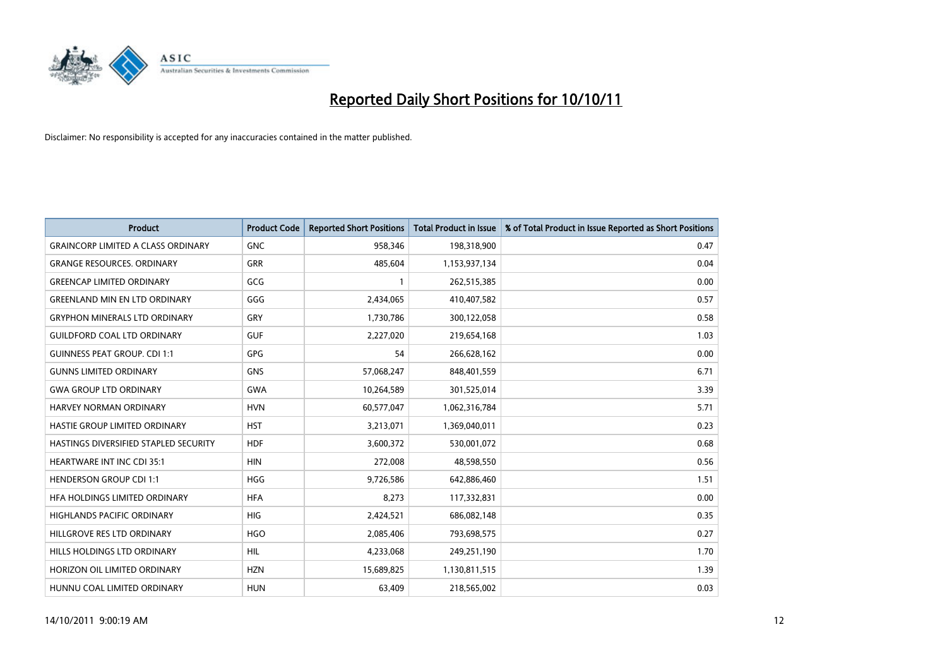

| <b>Product</b>                            | <b>Product Code</b> | <b>Reported Short Positions</b> | <b>Total Product in Issue</b> | % of Total Product in Issue Reported as Short Positions |
|-------------------------------------------|---------------------|---------------------------------|-------------------------------|---------------------------------------------------------|
| <b>GRAINCORP LIMITED A CLASS ORDINARY</b> | <b>GNC</b>          | 958,346                         | 198,318,900                   | 0.47                                                    |
| <b>GRANGE RESOURCES. ORDINARY</b>         | GRR                 | 485,604                         | 1,153,937,134                 | 0.04                                                    |
| <b>GREENCAP LIMITED ORDINARY</b>          | GCG                 |                                 | 262,515,385                   | 0.00                                                    |
| <b>GREENLAND MIN EN LTD ORDINARY</b>      | GGG                 | 2,434,065                       | 410,407,582                   | 0.57                                                    |
| <b>GRYPHON MINERALS LTD ORDINARY</b>      | GRY                 | 1,730,786                       | 300,122,058                   | 0.58                                                    |
| <b>GUILDFORD COAL LTD ORDINARY</b>        | <b>GUF</b>          | 2,227,020                       | 219,654,168                   | 1.03                                                    |
| <b>GUINNESS PEAT GROUP. CDI 1:1</b>       | <b>GPG</b>          | 54                              | 266,628,162                   | 0.00                                                    |
| <b>GUNNS LIMITED ORDINARY</b>             | <b>GNS</b>          | 57,068,247                      | 848,401,559                   | 6.71                                                    |
| <b>GWA GROUP LTD ORDINARY</b>             | <b>GWA</b>          | 10,264,589                      | 301,525,014                   | 3.39                                                    |
| <b>HARVEY NORMAN ORDINARY</b>             | <b>HVN</b>          | 60,577,047                      | 1,062,316,784                 | 5.71                                                    |
| <b>HASTIE GROUP LIMITED ORDINARY</b>      | <b>HST</b>          | 3,213,071                       | 1,369,040,011                 | 0.23                                                    |
| HASTINGS DIVERSIFIED STAPLED SECURITY     | <b>HDF</b>          | 3,600,372                       | 530,001,072                   | 0.68                                                    |
| <b>HEARTWARE INT INC CDI 35:1</b>         | <b>HIN</b>          | 272,008                         | 48,598,550                    | 0.56                                                    |
| <b>HENDERSON GROUP CDI 1:1</b>            | <b>HGG</b>          | 9,726,586                       | 642,886,460                   | 1.51                                                    |
| HFA HOLDINGS LIMITED ORDINARY             | <b>HFA</b>          | 8,273                           | 117,332,831                   | 0.00                                                    |
| HIGHLANDS PACIFIC ORDINARY                | <b>HIG</b>          | 2,424,521                       | 686,082,148                   | 0.35                                                    |
| HILLGROVE RES LTD ORDINARY                | <b>HGO</b>          | 2,085,406                       | 793,698,575                   | 0.27                                                    |
| HILLS HOLDINGS LTD ORDINARY               | HIL.                | 4,233,068                       | 249,251,190                   | 1.70                                                    |
| HORIZON OIL LIMITED ORDINARY              | <b>HZN</b>          | 15,689,825                      | 1,130,811,515                 | 1.39                                                    |
| HUNNU COAL LIMITED ORDINARY               | <b>HUN</b>          | 63.409                          | 218,565,002                   | 0.03                                                    |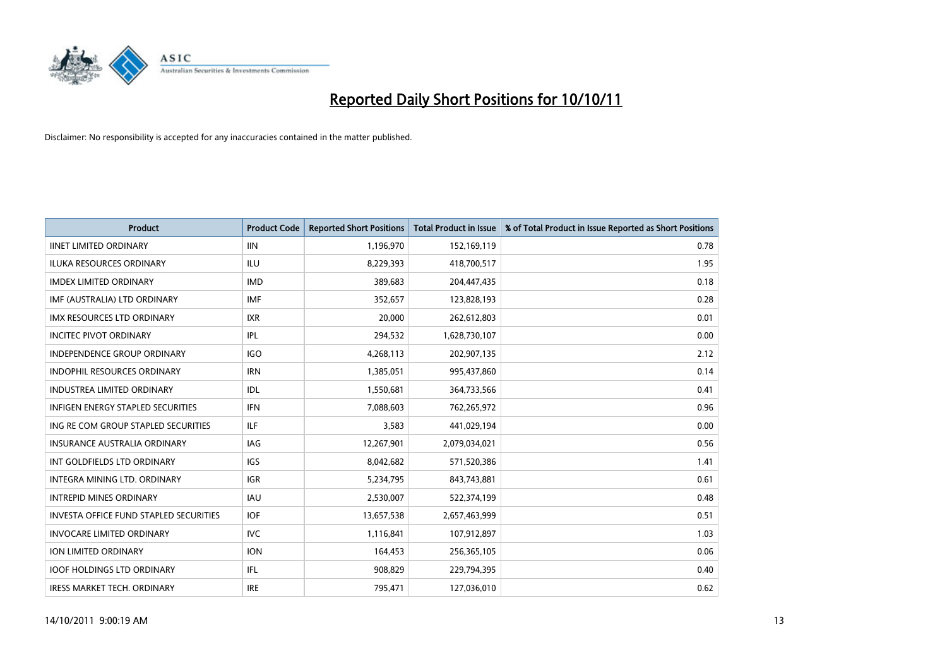

| <b>Product</b>                           | <b>Product Code</b> | <b>Reported Short Positions</b> | Total Product in Issue | % of Total Product in Issue Reported as Short Positions |
|------------------------------------------|---------------------|---------------------------------|------------------------|---------------------------------------------------------|
| <b>IINET LIMITED ORDINARY</b>            | <b>IIN</b>          | 1,196,970                       | 152,169,119            | 0.78                                                    |
| ILUKA RESOURCES ORDINARY                 | ILU                 | 8,229,393                       | 418,700,517            | 1.95                                                    |
| <b>IMDEX LIMITED ORDINARY</b>            | <b>IMD</b>          | 389,683                         | 204,447,435            | 0.18                                                    |
| IMF (AUSTRALIA) LTD ORDINARY             | <b>IMF</b>          | 352,657                         | 123,828,193            | 0.28                                                    |
| <b>IMX RESOURCES LTD ORDINARY</b>        | <b>IXR</b>          | 20,000                          | 262,612,803            | 0.01                                                    |
| <b>INCITEC PIVOT ORDINARY</b>            | IPL                 | 294,532                         | 1,628,730,107          | 0.00                                                    |
| <b>INDEPENDENCE GROUP ORDINARY</b>       | <b>IGO</b>          | 4,268,113                       | 202,907,135            | 2.12                                                    |
| INDOPHIL RESOURCES ORDINARY              | <b>IRN</b>          | 1,385,051                       | 995,437,860            | 0.14                                                    |
| INDUSTREA LIMITED ORDINARY               | IDL                 | 1,550,681                       | 364,733,566            | 0.41                                                    |
| <b>INFIGEN ENERGY STAPLED SECURITIES</b> | <b>IFN</b>          | 7,088,603                       | 762,265,972            | 0.96                                                    |
| ING RE COM GROUP STAPLED SECURITIES      | ILF.                | 3,583                           | 441,029,194            | 0.00                                                    |
| <b>INSURANCE AUSTRALIA ORDINARY</b>      | IAG                 | 12,267,901                      | 2,079,034,021          | 0.56                                                    |
| INT GOLDFIELDS LTD ORDINARY              | <b>IGS</b>          | 8,042,682                       | 571,520,386            | 1.41                                                    |
| <b>INTEGRA MINING LTD, ORDINARY</b>      | <b>IGR</b>          | 5,234,795                       | 843,743,881            | 0.61                                                    |
| <b>INTREPID MINES ORDINARY</b>           | <b>IAU</b>          | 2,530,007                       | 522,374,199            | 0.48                                                    |
| INVESTA OFFICE FUND STAPLED SECURITIES   | <b>IOF</b>          | 13,657,538                      | 2,657,463,999          | 0.51                                                    |
| <b>INVOCARE LIMITED ORDINARY</b>         | <b>IVC</b>          | 1,116,841                       | 107,912,897            | 1.03                                                    |
| ION LIMITED ORDINARY                     | <b>ION</b>          | 164,453                         | 256,365,105            | 0.06                                                    |
| <b>IOOF HOLDINGS LTD ORDINARY</b>        | IFL.                | 908,829                         | 229,794,395            | 0.40                                                    |
| <b>IRESS MARKET TECH. ORDINARY</b>       | <b>IRE</b>          | 795.471                         | 127,036,010            | 0.62                                                    |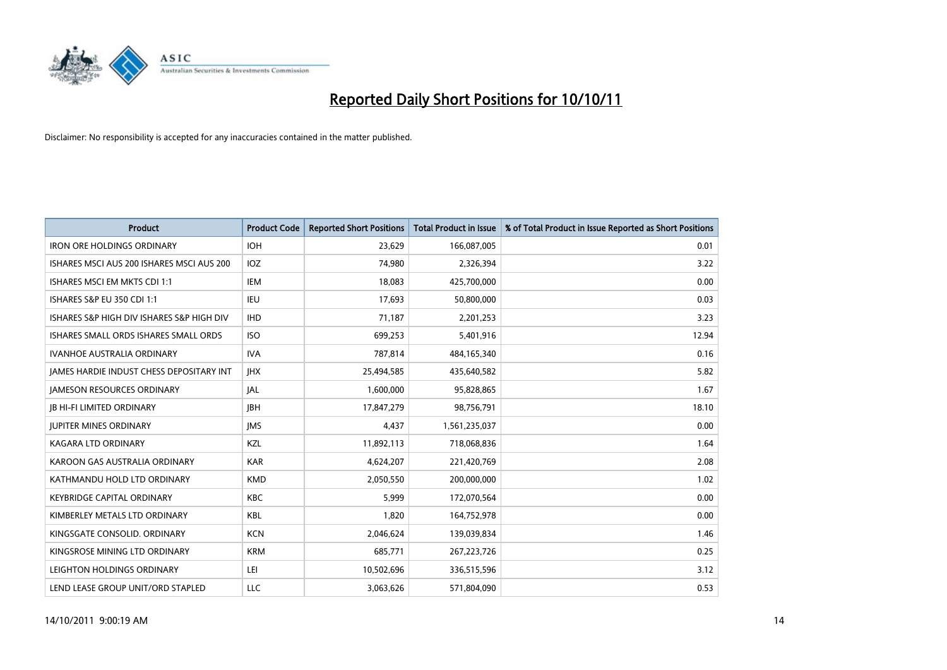

| <b>Product</b>                            | <b>Product Code</b> | <b>Reported Short Positions</b> | <b>Total Product in Issue</b> | % of Total Product in Issue Reported as Short Positions |
|-------------------------------------------|---------------------|---------------------------------|-------------------------------|---------------------------------------------------------|
| <b>IRON ORE HOLDINGS ORDINARY</b>         | <b>IOH</b>          | 23,629                          | 166,087,005                   | 0.01                                                    |
| ISHARES MSCI AUS 200 ISHARES MSCI AUS 200 | <b>IOZ</b>          | 74,980                          | 2,326,394                     | 3.22                                                    |
| ISHARES MSCI EM MKTS CDI 1:1              | IEM                 | 18,083                          | 425,700,000                   | 0.00                                                    |
| ISHARES S&P EU 350 CDI 1:1                | <b>IEU</b>          | 17,693                          | 50,800,000                    | 0.03                                                    |
| ISHARES S&P HIGH DIV ISHARES S&P HIGH DIV | <b>IHD</b>          | 71,187                          | 2,201,253                     | 3.23                                                    |
| ISHARES SMALL ORDS ISHARES SMALL ORDS     | <b>ISO</b>          | 699,253                         | 5,401,916                     | 12.94                                                   |
| <b>IVANHOE AUSTRALIA ORDINARY</b>         | <b>IVA</b>          | 787.814                         | 484,165,340                   | 0.16                                                    |
| JAMES HARDIE INDUST CHESS DEPOSITARY INT  | <b>IHX</b>          | 25,494,585                      | 435,640,582                   | 5.82                                                    |
| <b>JAMESON RESOURCES ORDINARY</b>         | <b>JAL</b>          | 1,600,000                       | 95,828,865                    | 1.67                                                    |
| <b>JB HI-FI LIMITED ORDINARY</b>          | <b>IBH</b>          | 17,847,279                      | 98,756,791                    | 18.10                                                   |
| <b>JUPITER MINES ORDINARY</b>             | <b>IMS</b>          | 4,437                           | 1,561,235,037                 | 0.00                                                    |
| <b>KAGARA LTD ORDINARY</b>                | <b>KZL</b>          | 11,892,113                      | 718,068,836                   | 1.64                                                    |
| KAROON GAS AUSTRALIA ORDINARY             | <b>KAR</b>          | 4,624,207                       | 221,420,769                   | 2.08                                                    |
| KATHMANDU HOLD LTD ORDINARY               | <b>KMD</b>          | 2,050,550                       | 200,000,000                   | 1.02                                                    |
| <b>KEYBRIDGE CAPITAL ORDINARY</b>         | <b>KBC</b>          | 5,999                           | 172,070,564                   | 0.00                                                    |
| KIMBERLEY METALS LTD ORDINARY             | <b>KBL</b>          | 1,820                           | 164,752,978                   | 0.00                                                    |
| KINGSGATE CONSOLID. ORDINARY              | <b>KCN</b>          | 2,046,624                       | 139,039,834                   | 1.46                                                    |
| KINGSROSE MINING LTD ORDINARY             | <b>KRM</b>          | 685,771                         | 267,223,726                   | 0.25                                                    |
| LEIGHTON HOLDINGS ORDINARY                | LEI                 | 10,502,696                      | 336,515,596                   | 3.12                                                    |
| LEND LEASE GROUP UNIT/ORD STAPLED         | LLC                 | 3,063,626                       | 571,804,090                   | 0.53                                                    |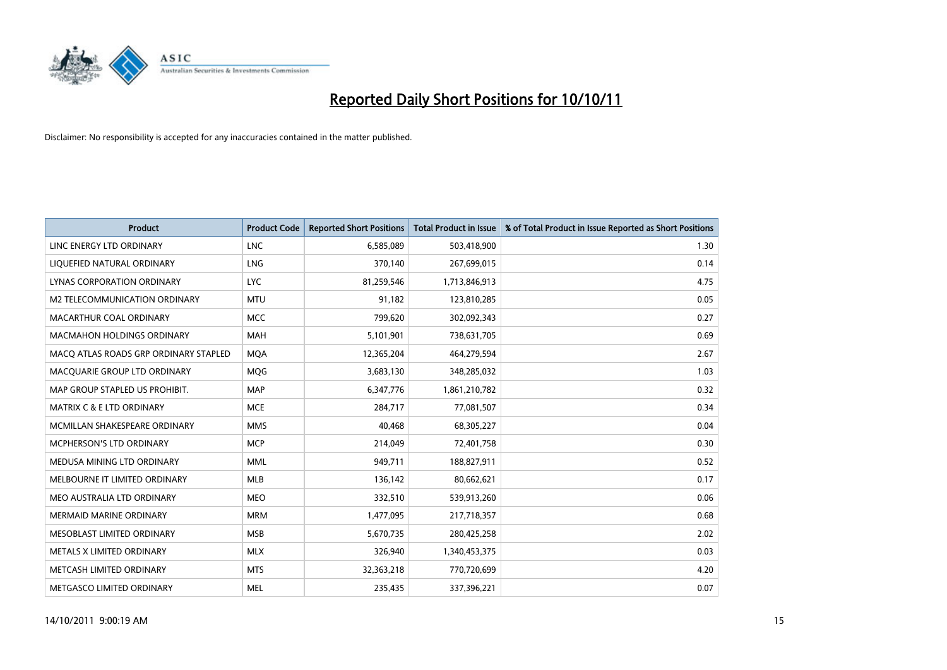

| <b>Product</b>                        | <b>Product Code</b> | <b>Reported Short Positions</b> | <b>Total Product in Issue</b> | % of Total Product in Issue Reported as Short Positions |
|---------------------------------------|---------------------|---------------------------------|-------------------------------|---------------------------------------------------------|
| LINC ENERGY LTD ORDINARY              | <b>LNC</b>          | 6,585,089                       | 503,418,900                   | 1.30                                                    |
| LIQUEFIED NATURAL ORDINARY            | LNG                 | 370,140                         | 267,699,015                   | 0.14                                                    |
| LYNAS CORPORATION ORDINARY            | <b>LYC</b>          | 81,259,546                      | 1,713,846,913                 | 4.75                                                    |
| M2 TELECOMMUNICATION ORDINARY         | <b>MTU</b>          | 91,182                          | 123,810,285                   | 0.05                                                    |
| MACARTHUR COAL ORDINARY               | <b>MCC</b>          | 799,620                         | 302,092,343                   | 0.27                                                    |
| <b>MACMAHON HOLDINGS ORDINARY</b>     | <b>MAH</b>          | 5,101,901                       | 738,631,705                   | 0.69                                                    |
| MACO ATLAS ROADS GRP ORDINARY STAPLED | <b>MOA</b>          | 12,365,204                      | 464,279,594                   | 2.67                                                    |
| MACQUARIE GROUP LTD ORDINARY          | <b>MOG</b>          | 3,683,130                       | 348,285,032                   | 1.03                                                    |
| MAP GROUP STAPLED US PROHIBIT.        | <b>MAP</b>          | 6,347,776                       | 1,861,210,782                 | 0.32                                                    |
| <b>MATRIX C &amp; E LTD ORDINARY</b>  | <b>MCE</b>          | 284,717                         | 77,081,507                    | 0.34                                                    |
| MCMILLAN SHAKESPEARE ORDINARY         | <b>MMS</b>          | 40,468                          | 68,305,227                    | 0.04                                                    |
| <b>MCPHERSON'S LTD ORDINARY</b>       | <b>MCP</b>          | 214,049                         | 72,401,758                    | 0.30                                                    |
| MEDUSA MINING LTD ORDINARY            | <b>MML</b>          | 949,711                         | 188,827,911                   | 0.52                                                    |
| MELBOURNE IT LIMITED ORDINARY         | <b>MLB</b>          | 136,142                         | 80,662,621                    | 0.17                                                    |
| MEO AUSTRALIA LTD ORDINARY            | <b>MEO</b>          | 332,510                         | 539,913,260                   | 0.06                                                    |
| <b>MERMAID MARINE ORDINARY</b>        | <b>MRM</b>          | 1,477,095                       | 217,718,357                   | 0.68                                                    |
| MESOBLAST LIMITED ORDINARY            | <b>MSB</b>          | 5,670,735                       | 280,425,258                   | 2.02                                                    |
| METALS X LIMITED ORDINARY             | <b>MLX</b>          | 326,940                         | 1,340,453,375                 | 0.03                                                    |
| METCASH LIMITED ORDINARY              | <b>MTS</b>          | 32,363,218                      | 770,720,699                   | 4.20                                                    |
| METGASCO LIMITED ORDINARY             | <b>MEL</b>          | 235,435                         | 337,396,221                   | 0.07                                                    |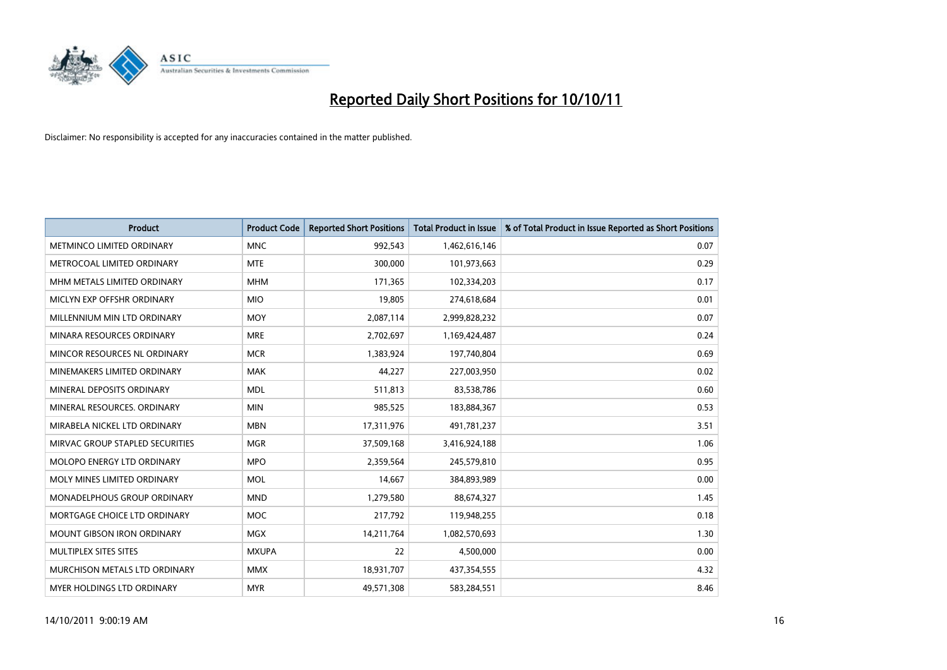

| <b>Product</b>                     | <b>Product Code</b> | <b>Reported Short Positions</b> | <b>Total Product in Issue</b> | % of Total Product in Issue Reported as Short Positions |
|------------------------------------|---------------------|---------------------------------|-------------------------------|---------------------------------------------------------|
| METMINCO LIMITED ORDINARY          | <b>MNC</b>          | 992,543                         | 1,462,616,146                 | 0.07                                                    |
| METROCOAL LIMITED ORDINARY         | <b>MTE</b>          | 300,000                         | 101,973,663                   | 0.29                                                    |
| MHM METALS LIMITED ORDINARY        | <b>MHM</b>          | 171,365                         | 102,334,203                   | 0.17                                                    |
| MICLYN EXP OFFSHR ORDINARY         | <b>MIO</b>          | 19,805                          | 274,618,684                   | 0.01                                                    |
| MILLENNIUM MIN LTD ORDINARY        | <b>MOY</b>          | 2,087,114                       | 2,999,828,232                 | 0.07                                                    |
| MINARA RESOURCES ORDINARY          | <b>MRE</b>          | 2,702,697                       | 1,169,424,487                 | 0.24                                                    |
| MINCOR RESOURCES NL ORDINARY       | <b>MCR</b>          | 1,383,924                       | 197,740,804                   | 0.69                                                    |
| MINEMAKERS LIMITED ORDINARY        | <b>MAK</b>          | 44,227                          | 227,003,950                   | 0.02                                                    |
| MINERAL DEPOSITS ORDINARY          | <b>MDL</b>          | 511,813                         | 83,538,786                    | 0.60                                                    |
| MINERAL RESOURCES, ORDINARY        | <b>MIN</b>          | 985,525                         | 183,884,367                   | 0.53                                                    |
| MIRABELA NICKEL LTD ORDINARY       | <b>MBN</b>          | 17,311,976                      | 491,781,237                   | 3.51                                                    |
| MIRVAC GROUP STAPLED SECURITIES    | <b>MGR</b>          | 37,509,168                      | 3,416,924,188                 | 1.06                                                    |
| MOLOPO ENERGY LTD ORDINARY         | <b>MPO</b>          | 2,359,564                       | 245,579,810                   | 0.95                                                    |
| MOLY MINES LIMITED ORDINARY        | <b>MOL</b>          | 14,667                          | 384,893,989                   | 0.00                                                    |
| <b>MONADELPHOUS GROUP ORDINARY</b> | <b>MND</b>          | 1,279,580                       | 88,674,327                    | 1.45                                                    |
| MORTGAGE CHOICE LTD ORDINARY       | <b>MOC</b>          | 217,792                         | 119,948,255                   | 0.18                                                    |
| MOUNT GIBSON IRON ORDINARY         | <b>MGX</b>          | 14,211,764                      | 1,082,570,693                 | 1.30                                                    |
| MULTIPLEX SITES SITES              | <b>MXUPA</b>        | 22                              | 4,500,000                     | 0.00                                                    |
| MURCHISON METALS LTD ORDINARY      | <b>MMX</b>          | 18,931,707                      | 437,354,555                   | 4.32                                                    |
| MYER HOLDINGS LTD ORDINARY         | <b>MYR</b>          | 49,571,308                      | 583,284,551                   | 8.46                                                    |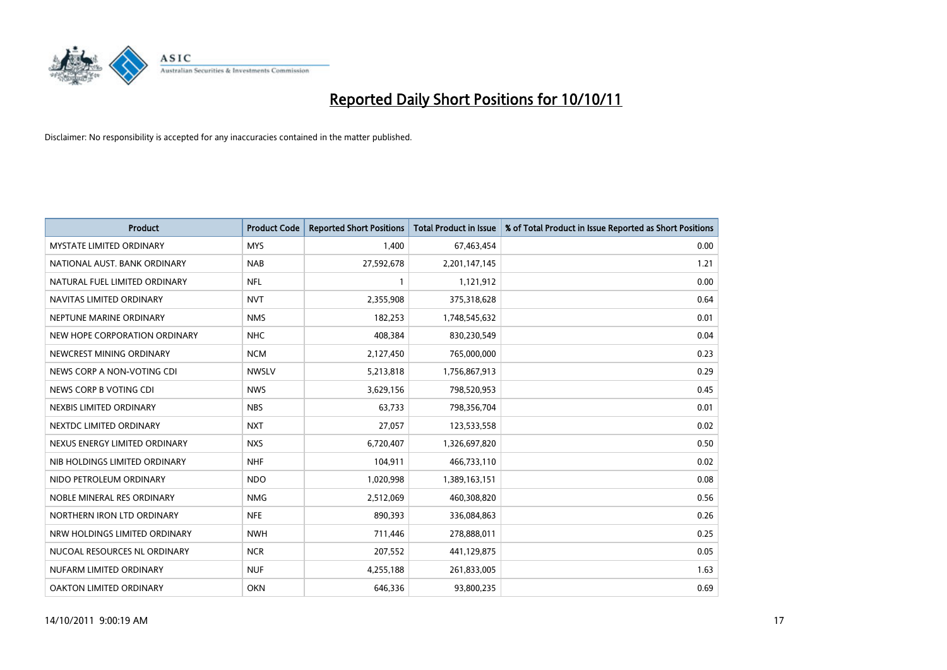

| <b>Product</b>                  | <b>Product Code</b> | <b>Reported Short Positions</b> | <b>Total Product in Issue</b> | % of Total Product in Issue Reported as Short Positions |
|---------------------------------|---------------------|---------------------------------|-------------------------------|---------------------------------------------------------|
| <b>MYSTATE LIMITED ORDINARY</b> | <b>MYS</b>          | 1,400                           | 67,463,454                    | 0.00                                                    |
| NATIONAL AUST. BANK ORDINARY    | <b>NAB</b>          | 27,592,678                      | 2,201,147,145                 | 1.21                                                    |
| NATURAL FUEL LIMITED ORDINARY   | <b>NFL</b>          |                                 | 1,121,912                     | 0.00                                                    |
| NAVITAS LIMITED ORDINARY        | <b>NVT</b>          | 2,355,908                       | 375,318,628                   | 0.64                                                    |
| NEPTUNE MARINE ORDINARY         | <b>NMS</b>          | 182,253                         | 1,748,545,632                 | 0.01                                                    |
| NEW HOPE CORPORATION ORDINARY   | <b>NHC</b>          | 408,384                         | 830,230,549                   | 0.04                                                    |
| NEWCREST MINING ORDINARY        | <b>NCM</b>          | 2,127,450                       | 765,000,000                   | 0.23                                                    |
| NEWS CORP A NON-VOTING CDI      | <b>NWSLV</b>        | 5,213,818                       | 1,756,867,913                 | 0.29                                                    |
| NEWS CORP B VOTING CDI          | <b>NWS</b>          | 3,629,156                       | 798,520,953                   | 0.45                                                    |
| NEXBIS LIMITED ORDINARY         | <b>NBS</b>          | 63,733                          | 798,356,704                   | 0.01                                                    |
| NEXTDC LIMITED ORDINARY         | <b>NXT</b>          | 27,057                          | 123,533,558                   | 0.02                                                    |
| NEXUS ENERGY LIMITED ORDINARY   | <b>NXS</b>          | 6,720,407                       | 1,326,697,820                 | 0.50                                                    |
| NIB HOLDINGS LIMITED ORDINARY   | <b>NHF</b>          | 104,911                         | 466,733,110                   | 0.02                                                    |
| NIDO PETROLEUM ORDINARY         | <b>NDO</b>          | 1,020,998                       | 1,389,163,151                 | 0.08                                                    |
| NOBLE MINERAL RES ORDINARY      | <b>NMG</b>          | 2,512,069                       | 460,308,820                   | 0.56                                                    |
| NORTHERN IRON LTD ORDINARY      | <b>NFE</b>          | 890,393                         | 336,084,863                   | 0.26                                                    |
| NRW HOLDINGS LIMITED ORDINARY   | <b>NWH</b>          | 711,446                         | 278,888,011                   | 0.25                                                    |
| NUCOAL RESOURCES NL ORDINARY    | <b>NCR</b>          | 207,552                         | 441,129,875                   | 0.05                                                    |
| NUFARM LIMITED ORDINARY         | <b>NUF</b>          | 4,255,188                       | 261,833,005                   | 1.63                                                    |
| OAKTON LIMITED ORDINARY         | <b>OKN</b>          | 646,336                         | 93,800,235                    | 0.69                                                    |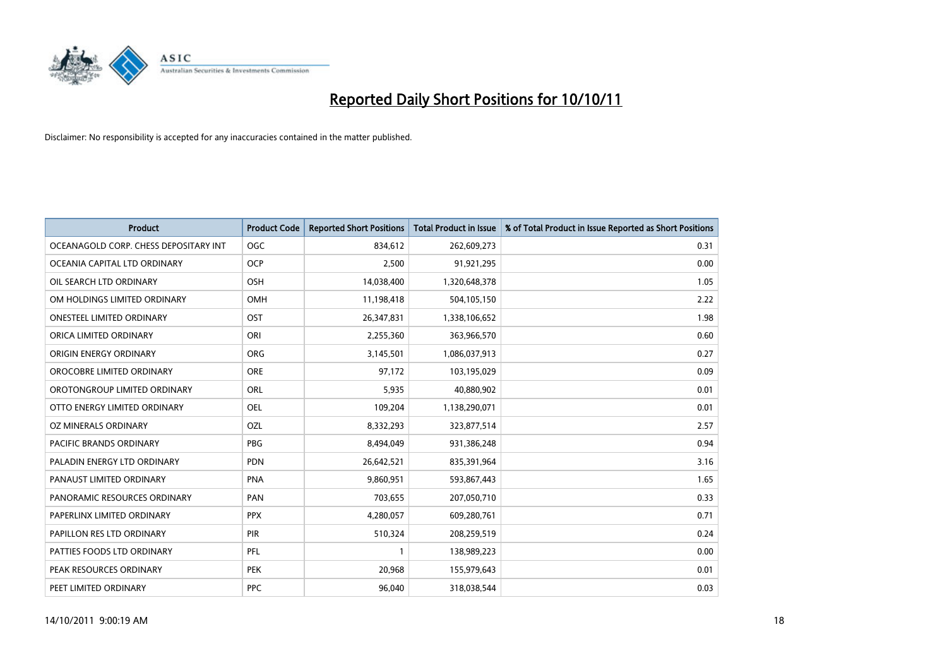

| <b>Product</b>                        | <b>Product Code</b> | <b>Reported Short Positions</b> | <b>Total Product in Issue</b> | % of Total Product in Issue Reported as Short Positions |
|---------------------------------------|---------------------|---------------------------------|-------------------------------|---------------------------------------------------------|
| OCEANAGOLD CORP. CHESS DEPOSITARY INT | <b>OGC</b>          | 834,612                         | 262,609,273                   | 0.31                                                    |
| OCEANIA CAPITAL LTD ORDINARY          | <b>OCP</b>          | 2,500                           | 91,921,295                    | 0.00                                                    |
| OIL SEARCH LTD ORDINARY               | OSH                 | 14,038,400                      | 1,320,648,378                 | 1.05                                                    |
| OM HOLDINGS LIMITED ORDINARY          | OMH                 | 11,198,418                      | 504,105,150                   | 2.22                                                    |
| <b>ONESTEEL LIMITED ORDINARY</b>      | <b>OST</b>          | 26,347,831                      | 1,338,106,652                 | 1.98                                                    |
| ORICA LIMITED ORDINARY                | ORI                 | 2,255,360                       | 363,966,570                   | 0.60                                                    |
| ORIGIN ENERGY ORDINARY                | <b>ORG</b>          | 3,145,501                       | 1,086,037,913                 | 0.27                                                    |
| OROCOBRE LIMITED ORDINARY             | <b>ORE</b>          | 97,172                          | 103,195,029                   | 0.09                                                    |
| OROTONGROUP LIMITED ORDINARY          | <b>ORL</b>          | 5,935                           | 40,880,902                    | 0.01                                                    |
| OTTO ENERGY LIMITED ORDINARY          | <b>OEL</b>          | 109,204                         | 1,138,290,071                 | 0.01                                                    |
| OZ MINERALS ORDINARY                  | OZL                 | 8,332,293                       | 323,877,514                   | 2.57                                                    |
| PACIFIC BRANDS ORDINARY               | <b>PBG</b>          | 8,494,049                       | 931,386,248                   | 0.94                                                    |
| PALADIN ENERGY LTD ORDINARY           | <b>PDN</b>          | 26,642,521                      | 835,391,964                   | 3.16                                                    |
| PANAUST LIMITED ORDINARY              | <b>PNA</b>          | 9,860,951                       | 593,867,443                   | 1.65                                                    |
| PANORAMIC RESOURCES ORDINARY          | PAN                 | 703,655                         | 207,050,710                   | 0.33                                                    |
| PAPERLINX LIMITED ORDINARY            | <b>PPX</b>          | 4,280,057                       | 609,280,761                   | 0.71                                                    |
| PAPILLON RES LTD ORDINARY             | PIR                 | 510,324                         | 208,259,519                   | 0.24                                                    |
| PATTIES FOODS LTD ORDINARY            | PFL                 |                                 | 138,989,223                   | 0.00                                                    |
| PEAK RESOURCES ORDINARY               | <b>PEK</b>          | 20,968                          | 155,979,643                   | 0.01                                                    |
| PEET LIMITED ORDINARY                 | <b>PPC</b>          | 96,040                          | 318,038,544                   | 0.03                                                    |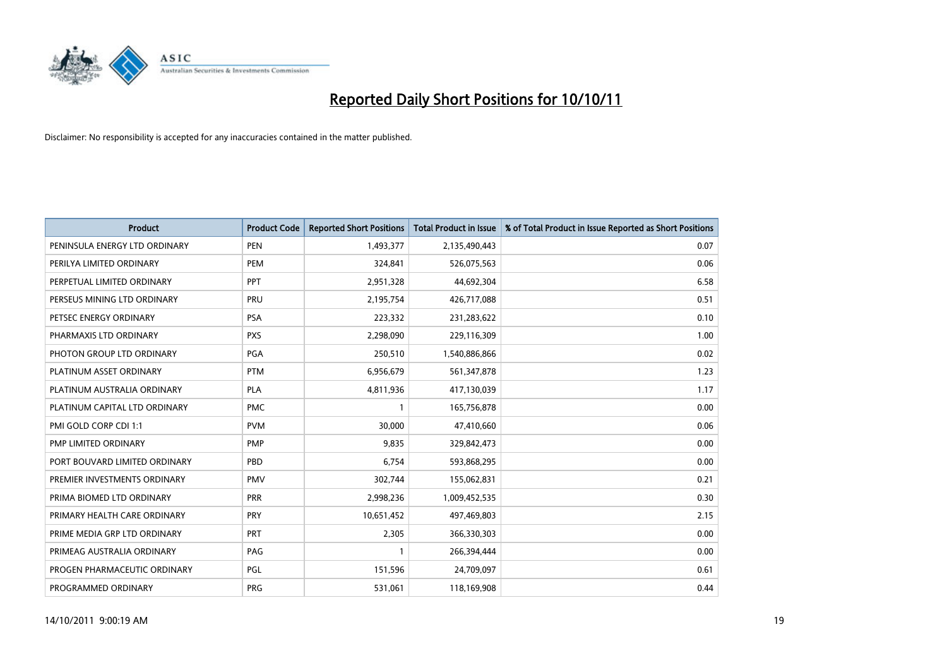

| <b>Product</b>                | <b>Product Code</b> | <b>Reported Short Positions</b> | <b>Total Product in Issue</b> | % of Total Product in Issue Reported as Short Positions |
|-------------------------------|---------------------|---------------------------------|-------------------------------|---------------------------------------------------------|
| PENINSULA ENERGY LTD ORDINARY | <b>PEN</b>          | 1,493,377                       | 2,135,490,443                 | 0.07                                                    |
| PERILYA LIMITED ORDINARY      | <b>PEM</b>          | 324,841                         | 526,075,563                   | 0.06                                                    |
| PERPETUAL LIMITED ORDINARY    | <b>PPT</b>          | 2,951,328                       | 44,692,304                    | 6.58                                                    |
| PERSEUS MINING LTD ORDINARY   | PRU                 | 2,195,754                       | 426,717,088                   | 0.51                                                    |
| PETSEC ENERGY ORDINARY        | <b>PSA</b>          | 223,332                         | 231,283,622                   | 0.10                                                    |
| PHARMAXIS LTD ORDINARY        | <b>PXS</b>          | 2,298,090                       | 229,116,309                   | 1.00                                                    |
| PHOTON GROUP LTD ORDINARY     | PGA                 | 250,510                         | 1,540,886,866                 | 0.02                                                    |
| PLATINUM ASSET ORDINARY       | <b>PTM</b>          | 6,956,679                       | 561,347,878                   | 1.23                                                    |
| PLATINUM AUSTRALIA ORDINARY   | <b>PLA</b>          | 4,811,936                       | 417,130,039                   | 1.17                                                    |
| PLATINUM CAPITAL LTD ORDINARY | <b>PMC</b>          |                                 | 165,756,878                   | 0.00                                                    |
| PMI GOLD CORP CDI 1:1         | <b>PVM</b>          | 30,000                          | 47,410,660                    | 0.06                                                    |
| PMP LIMITED ORDINARY          | <b>PMP</b>          | 9,835                           | 329,842,473                   | 0.00                                                    |
| PORT BOUVARD LIMITED ORDINARY | PBD                 | 6,754                           | 593,868,295                   | 0.00                                                    |
| PREMIER INVESTMENTS ORDINARY  | <b>PMV</b>          | 302,744                         | 155,062,831                   | 0.21                                                    |
| PRIMA BIOMED LTD ORDINARY     | <b>PRR</b>          | 2,998,236                       | 1,009,452,535                 | 0.30                                                    |
| PRIMARY HEALTH CARE ORDINARY  | <b>PRY</b>          | 10,651,452                      | 497,469,803                   | 2.15                                                    |
| PRIME MEDIA GRP LTD ORDINARY  | PRT                 | 2,305                           | 366,330,303                   | 0.00                                                    |
| PRIMEAG AUSTRALIA ORDINARY    | PAG                 |                                 | 266,394,444                   | 0.00                                                    |
| PROGEN PHARMACEUTIC ORDINARY  | PGL                 | 151,596                         | 24,709,097                    | 0.61                                                    |
| PROGRAMMED ORDINARY           | <b>PRG</b>          | 531,061                         | 118,169,908                   | 0.44                                                    |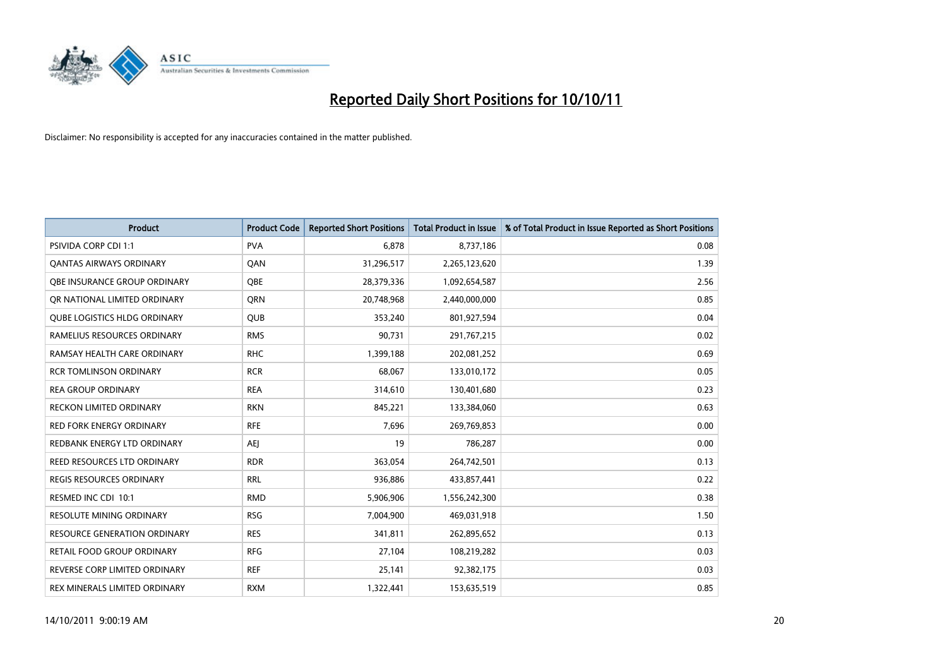

| <b>Product</b>                      | <b>Product Code</b> | <b>Reported Short Positions</b> | <b>Total Product in Issue</b> | % of Total Product in Issue Reported as Short Positions |
|-------------------------------------|---------------------|---------------------------------|-------------------------------|---------------------------------------------------------|
| <b>PSIVIDA CORP CDI 1:1</b>         | <b>PVA</b>          | 6.878                           | 8,737,186                     | 0.08                                                    |
| <b>QANTAS AIRWAYS ORDINARY</b>      | QAN                 | 31,296,517                      | 2,265,123,620                 | 1.39                                                    |
| <b>OBE INSURANCE GROUP ORDINARY</b> | <b>OBE</b>          | 28,379,336                      | 1,092,654,587                 | 2.56                                                    |
| OR NATIONAL LIMITED ORDINARY        | <b>ORN</b>          | 20,748,968                      | 2,440,000,000                 | 0.85                                                    |
| <b>QUBE LOGISTICS HLDG ORDINARY</b> | <b>QUB</b>          | 353,240                         | 801,927,594                   | 0.04                                                    |
| RAMELIUS RESOURCES ORDINARY         | <b>RMS</b>          | 90,731                          | 291,767,215                   | 0.02                                                    |
| RAMSAY HEALTH CARE ORDINARY         | <b>RHC</b>          | 1,399,188                       | 202,081,252                   | 0.69                                                    |
| <b>RCR TOMLINSON ORDINARY</b>       | <b>RCR</b>          | 68,067                          | 133,010,172                   | 0.05                                                    |
| <b>REA GROUP ORDINARY</b>           | <b>REA</b>          | 314,610                         | 130,401,680                   | 0.23                                                    |
| <b>RECKON LIMITED ORDINARY</b>      | <b>RKN</b>          | 845,221                         | 133,384,060                   | 0.63                                                    |
| <b>RED FORK ENERGY ORDINARY</b>     | <b>RFE</b>          | 7,696                           | 269,769,853                   | 0.00                                                    |
| REDBANK ENERGY LTD ORDINARY         | AEI                 | 19                              | 786,287                       | 0.00                                                    |
| REED RESOURCES LTD ORDINARY         | <b>RDR</b>          | 363,054                         | 264,742,501                   | 0.13                                                    |
| <b>REGIS RESOURCES ORDINARY</b>     | <b>RRL</b>          | 936,886                         | 433,857,441                   | 0.22                                                    |
| RESMED INC CDI 10:1                 | <b>RMD</b>          | 5,906,906                       | 1,556,242,300                 | 0.38                                                    |
| RESOLUTE MINING ORDINARY            | <b>RSG</b>          | 7,004,900                       | 469,031,918                   | 1.50                                                    |
| RESOURCE GENERATION ORDINARY        | <b>RES</b>          | 341,811                         | 262,895,652                   | 0.13                                                    |
| RETAIL FOOD GROUP ORDINARY          | <b>RFG</b>          | 27,104                          | 108,219,282                   | 0.03                                                    |
| REVERSE CORP LIMITED ORDINARY       | <b>REF</b>          | 25,141                          | 92,382,175                    | 0.03                                                    |
| REX MINERALS LIMITED ORDINARY       | <b>RXM</b>          | 1,322,441                       | 153,635,519                   | 0.85                                                    |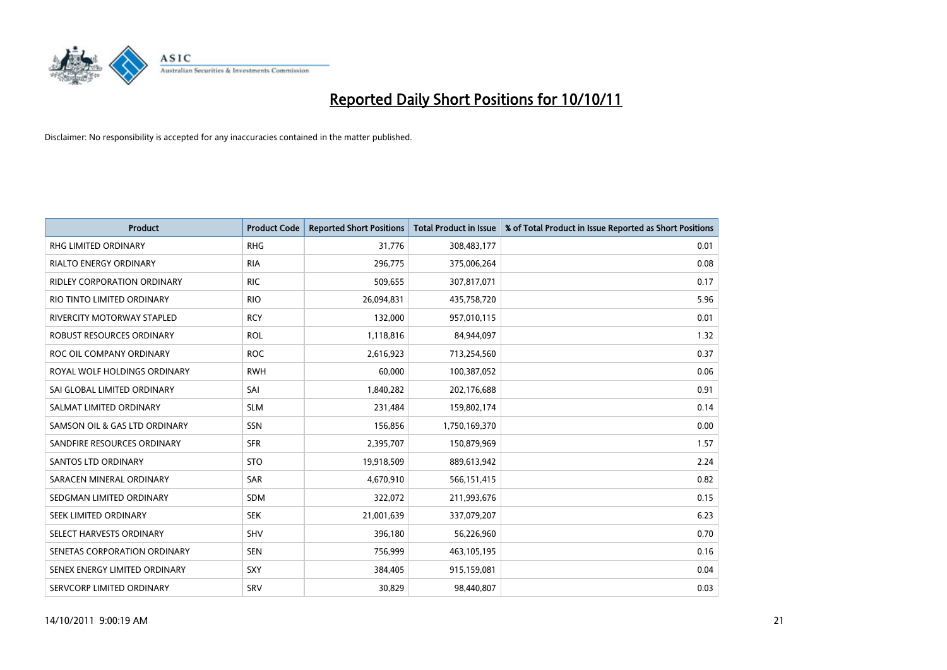

| <b>Product</b>                     | <b>Product Code</b> | <b>Reported Short Positions</b> | <b>Total Product in Issue</b> | % of Total Product in Issue Reported as Short Positions |
|------------------------------------|---------------------|---------------------------------|-------------------------------|---------------------------------------------------------|
| <b>RHG LIMITED ORDINARY</b>        | <b>RHG</b>          | 31,776                          | 308,483,177                   | 0.01                                                    |
| RIALTO ENERGY ORDINARY             | <b>RIA</b>          | 296,775                         | 375,006,264                   | 0.08                                                    |
| <b>RIDLEY CORPORATION ORDINARY</b> | <b>RIC</b>          | 509,655                         | 307,817,071                   | 0.17                                                    |
| RIO TINTO LIMITED ORDINARY         | <b>RIO</b>          | 26,094,831                      | 435,758,720                   | 5.96                                                    |
| <b>RIVERCITY MOTORWAY STAPLED</b>  | <b>RCY</b>          | 132,000                         | 957,010,115                   | 0.01                                                    |
| ROBUST RESOURCES ORDINARY          | <b>ROL</b>          | 1,118,816                       | 84,944,097                    | 1.32                                                    |
| ROC OIL COMPANY ORDINARY           | <b>ROC</b>          | 2,616,923                       | 713,254,560                   | 0.37                                                    |
| ROYAL WOLF HOLDINGS ORDINARY       | <b>RWH</b>          | 60,000                          | 100,387,052                   | 0.06                                                    |
| SAI GLOBAL LIMITED ORDINARY        | SAI                 | 1,840,282                       | 202,176,688                   | 0.91                                                    |
| SALMAT LIMITED ORDINARY            | <b>SLM</b>          | 231,484                         | 159,802,174                   | 0.14                                                    |
| SAMSON OIL & GAS LTD ORDINARY      | SSN                 | 156,856                         | 1,750,169,370                 | 0.00                                                    |
| SANDFIRE RESOURCES ORDINARY        | <b>SFR</b>          | 2,395,707                       | 150,879,969                   | 1.57                                                    |
| <b>SANTOS LTD ORDINARY</b>         | <b>STO</b>          | 19,918,509                      | 889,613,942                   | 2.24                                                    |
| SARACEN MINERAL ORDINARY           | SAR                 | 4,670,910                       | 566,151,415                   | 0.82                                                    |
| SEDGMAN LIMITED ORDINARY           | <b>SDM</b>          | 322,072                         | 211,993,676                   | 0.15                                                    |
| SEEK LIMITED ORDINARY              | <b>SEK</b>          | 21,001,639                      | 337,079,207                   | 6.23                                                    |
| SELECT HARVESTS ORDINARY           | SHV                 | 396,180                         | 56,226,960                    | 0.70                                                    |
| SENETAS CORPORATION ORDINARY       | <b>SEN</b>          | 756,999                         | 463,105,195                   | 0.16                                                    |
| SENEX ENERGY LIMITED ORDINARY      | <b>SXY</b>          | 384,405                         | 915,159,081                   | 0.04                                                    |
| SERVCORP LIMITED ORDINARY          | SRV                 | 30,829                          | 98.440.807                    | 0.03                                                    |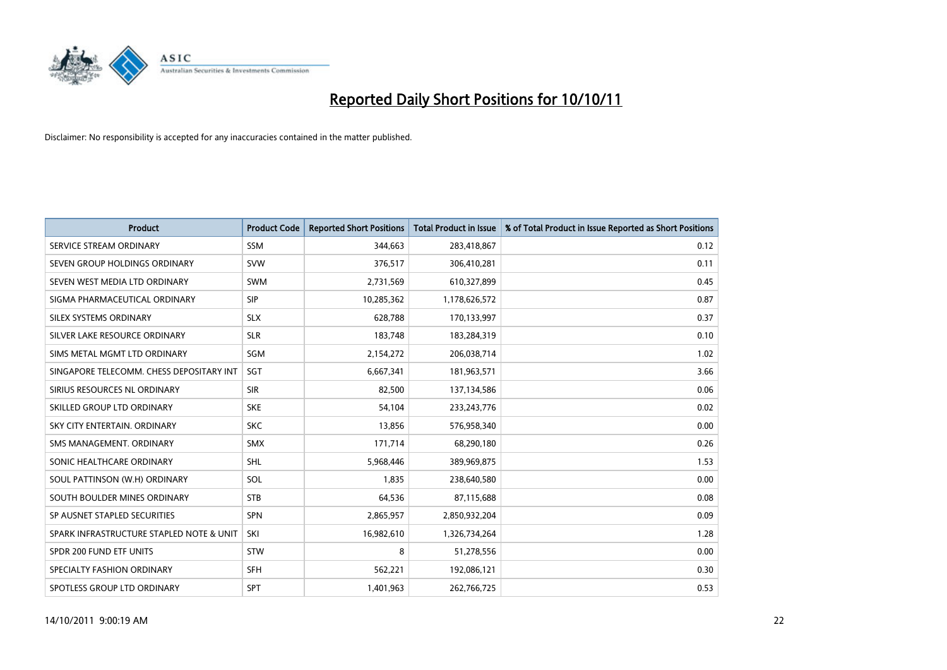

| <b>Product</b>                           | <b>Product Code</b> | <b>Reported Short Positions</b> | <b>Total Product in Issue</b> | % of Total Product in Issue Reported as Short Positions |
|------------------------------------------|---------------------|---------------------------------|-------------------------------|---------------------------------------------------------|
| SERVICE STREAM ORDINARY                  | <b>SSM</b>          | 344,663                         | 283,418,867                   | 0.12                                                    |
| SEVEN GROUP HOLDINGS ORDINARY            | <b>SVW</b>          | 376,517                         | 306,410,281                   | 0.11                                                    |
| SEVEN WEST MEDIA LTD ORDINARY            | <b>SWM</b>          | 2,731,569                       | 610,327,899                   | 0.45                                                    |
| SIGMA PHARMACEUTICAL ORDINARY            | <b>SIP</b>          | 10,285,362                      | 1,178,626,572                 | 0.87                                                    |
| SILEX SYSTEMS ORDINARY                   | <b>SLX</b>          | 628,788                         | 170,133,997                   | 0.37                                                    |
| SILVER LAKE RESOURCE ORDINARY            | <b>SLR</b>          | 183,748                         | 183,284,319                   | 0.10                                                    |
| SIMS METAL MGMT LTD ORDINARY             | SGM                 | 2,154,272                       | 206,038,714                   | 1.02                                                    |
| SINGAPORE TELECOMM. CHESS DEPOSITARY INT | <b>SGT</b>          | 6,667,341                       | 181,963,571                   | 3.66                                                    |
| SIRIUS RESOURCES NL ORDINARY             | <b>SIR</b>          | 82,500                          | 137,134,586                   | 0.06                                                    |
| SKILLED GROUP LTD ORDINARY               | <b>SKE</b>          | 54,104                          | 233, 243, 776                 | 0.02                                                    |
| SKY CITY ENTERTAIN. ORDINARY             | <b>SKC</b>          | 13,856                          | 576,958,340                   | 0.00                                                    |
| SMS MANAGEMENT, ORDINARY                 | <b>SMX</b>          | 171,714                         | 68,290,180                    | 0.26                                                    |
| SONIC HEALTHCARE ORDINARY                | <b>SHL</b>          | 5,968,446                       | 389,969,875                   | 1.53                                                    |
| SOUL PATTINSON (W.H) ORDINARY            | SOL                 | 1,835                           | 238,640,580                   | 0.00                                                    |
| SOUTH BOULDER MINES ORDINARY             | <b>STB</b>          | 64,536                          | 87,115,688                    | 0.08                                                    |
| SP AUSNET STAPLED SECURITIES             | <b>SPN</b>          | 2,865,957                       | 2,850,932,204                 | 0.09                                                    |
| SPARK INFRASTRUCTURE STAPLED NOTE & UNIT | SKI                 | 16,982,610                      | 1,326,734,264                 | 1.28                                                    |
| SPDR 200 FUND ETF UNITS                  | <b>STW</b>          | 8                               | 51,278,556                    | 0.00                                                    |
| SPECIALTY FASHION ORDINARY               | <b>SFH</b>          | 562,221                         | 192,086,121                   | 0.30                                                    |
| SPOTLESS GROUP LTD ORDINARY              | <b>SPT</b>          | 1,401,963                       | 262,766,725                   | 0.53                                                    |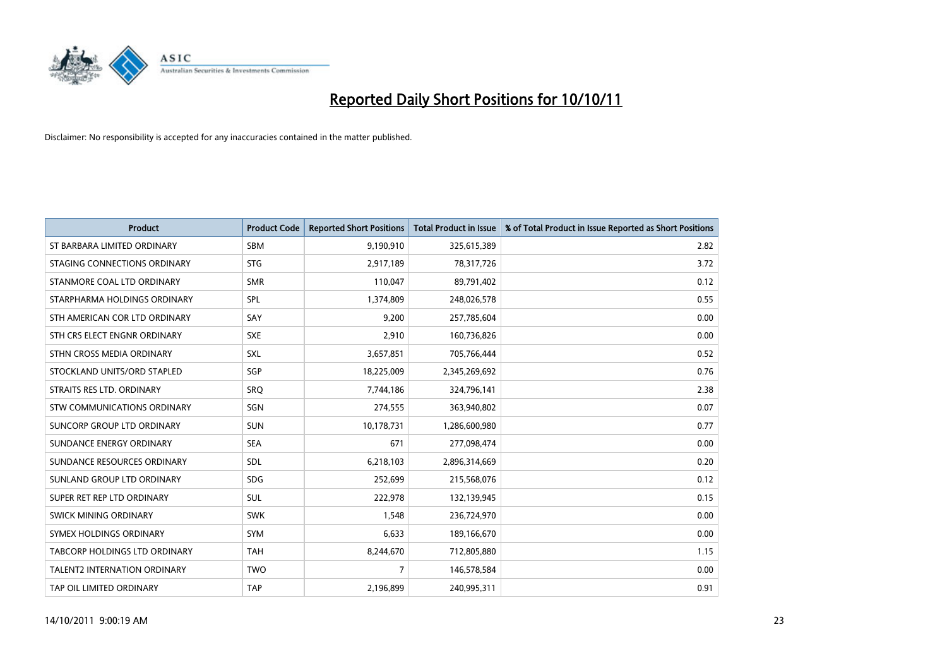

| <b>Product</b>                       | <b>Product Code</b> | <b>Reported Short Positions</b> | <b>Total Product in Issue</b> | % of Total Product in Issue Reported as Short Positions |
|--------------------------------------|---------------------|---------------------------------|-------------------------------|---------------------------------------------------------|
| ST BARBARA LIMITED ORDINARY          | <b>SBM</b>          | 9,190,910                       | 325,615,389                   | 2.82                                                    |
| STAGING CONNECTIONS ORDINARY         | <b>STG</b>          | 2,917,189                       | 78,317,726                    | 3.72                                                    |
| STANMORE COAL LTD ORDINARY           | <b>SMR</b>          | 110,047                         | 89,791,402                    | 0.12                                                    |
| STARPHARMA HOLDINGS ORDINARY         | <b>SPL</b>          | 1,374,809                       | 248,026,578                   | 0.55                                                    |
| STH AMERICAN COR LTD ORDINARY        | SAY                 | 9,200                           | 257,785,604                   | 0.00                                                    |
| STH CRS ELECT ENGNR ORDINARY         | <b>SXE</b>          | 2,910                           | 160,736,826                   | 0.00                                                    |
| STHN CROSS MEDIA ORDINARY            | <b>SXL</b>          | 3,657,851                       | 705,766,444                   | 0.52                                                    |
| STOCKLAND UNITS/ORD STAPLED          | <b>SGP</b>          | 18,225,009                      | 2,345,269,692                 | 0.76                                                    |
| STRAITS RES LTD. ORDINARY            | SRO                 | 7,744,186                       | 324,796,141                   | 2.38                                                    |
| STW COMMUNICATIONS ORDINARY          | SGN                 | 274,555                         | 363,940,802                   | 0.07                                                    |
| SUNCORP GROUP LTD ORDINARY           | <b>SUN</b>          | 10,178,731                      | 1,286,600,980                 | 0.77                                                    |
| SUNDANCE ENERGY ORDINARY             | <b>SEA</b>          | 671                             | 277,098,474                   | 0.00                                                    |
| SUNDANCE RESOURCES ORDINARY          | <b>SDL</b>          | 6,218,103                       | 2,896,314,669                 | 0.20                                                    |
| SUNLAND GROUP LTD ORDINARY           | <b>SDG</b>          | 252,699                         | 215,568,076                   | 0.12                                                    |
| SUPER RET REP LTD ORDINARY           | <b>SUL</b>          | 222,978                         | 132,139,945                   | 0.15                                                    |
| SWICK MINING ORDINARY                | <b>SWK</b>          | 1,548                           | 236,724,970                   | 0.00                                                    |
| SYMEX HOLDINGS ORDINARY              | <b>SYM</b>          | 6,633                           | 189,166,670                   | 0.00                                                    |
| <b>TABCORP HOLDINGS LTD ORDINARY</b> | <b>TAH</b>          | 8,244,670                       | 712,805,880                   | 1.15                                                    |
| <b>TALENT2 INTERNATION ORDINARY</b>  | <b>TWO</b>          | 7                               | 146,578,584                   | 0.00                                                    |
| TAP OIL LIMITED ORDINARY             | <b>TAP</b>          | 2,196,899                       | 240,995,311                   | 0.91                                                    |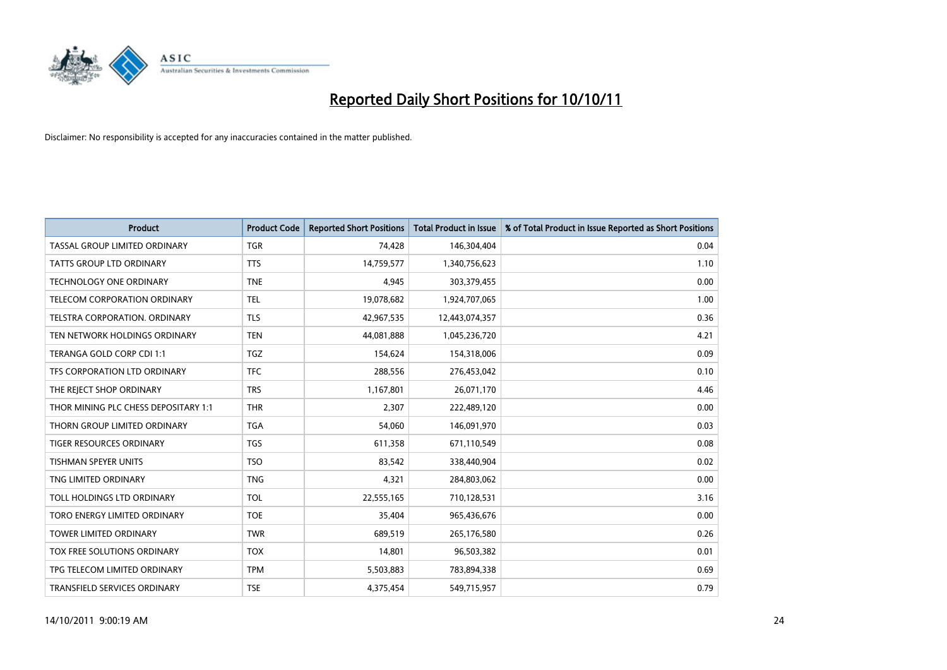

| <b>Product</b>                       | <b>Product Code</b> | <b>Reported Short Positions</b> | <b>Total Product in Issue</b> | % of Total Product in Issue Reported as Short Positions |
|--------------------------------------|---------------------|---------------------------------|-------------------------------|---------------------------------------------------------|
| TASSAL GROUP LIMITED ORDINARY        | <b>TGR</b>          | 74,428                          | 146,304,404                   | 0.04                                                    |
| TATTS GROUP LTD ORDINARY             | <b>TTS</b>          | 14,759,577                      | 1,340,756,623                 | 1.10                                                    |
| <b>TECHNOLOGY ONE ORDINARY</b>       | <b>TNE</b>          | 4.945                           | 303,379,455                   | 0.00                                                    |
| TELECOM CORPORATION ORDINARY         | <b>TEL</b>          | 19,078,682                      | 1,924,707,065                 | 1.00                                                    |
| <b>TELSTRA CORPORATION, ORDINARY</b> | <b>TLS</b>          | 42,967,535                      | 12,443,074,357                | 0.36                                                    |
| TEN NETWORK HOLDINGS ORDINARY        | <b>TEN</b>          | 44,081,888                      | 1,045,236,720                 | 4.21                                                    |
| TERANGA GOLD CORP CDI 1:1            | <b>TGZ</b>          | 154,624                         | 154,318,006                   | 0.09                                                    |
| TFS CORPORATION LTD ORDINARY         | <b>TFC</b>          | 288,556                         | 276,453,042                   | 0.10                                                    |
| THE REJECT SHOP ORDINARY             | <b>TRS</b>          | 1,167,801                       | 26,071,170                    | 4.46                                                    |
| THOR MINING PLC CHESS DEPOSITARY 1:1 | <b>THR</b>          | 2.307                           | 222,489,120                   | 0.00                                                    |
| THORN GROUP LIMITED ORDINARY         | <b>TGA</b>          | 54,060                          | 146,091,970                   | 0.03                                                    |
| <b>TIGER RESOURCES ORDINARY</b>      | <b>TGS</b>          | 611,358                         | 671,110,549                   | 0.08                                                    |
| <b>TISHMAN SPEYER UNITS</b>          | <b>TSO</b>          | 83,542                          | 338,440,904                   | 0.02                                                    |
| TNG LIMITED ORDINARY                 | <b>TNG</b>          | 4,321                           | 284,803,062                   | 0.00                                                    |
| TOLL HOLDINGS LTD ORDINARY           | <b>TOL</b>          | 22,555,165                      | 710,128,531                   | 3.16                                                    |
| TORO ENERGY LIMITED ORDINARY         | <b>TOE</b>          | 35,404                          | 965,436,676                   | 0.00                                                    |
| <b>TOWER LIMITED ORDINARY</b>        | <b>TWR</b>          | 689,519                         | 265,176,580                   | 0.26                                                    |
| TOX FREE SOLUTIONS ORDINARY          | <b>TOX</b>          | 14,801                          | 96,503,382                    | 0.01                                                    |
| TPG TELECOM LIMITED ORDINARY         | <b>TPM</b>          | 5,503,883                       | 783,894,338                   | 0.69                                                    |
| <b>TRANSFIELD SERVICES ORDINARY</b>  | <b>TSE</b>          | 4.375.454                       | 549,715,957                   | 0.79                                                    |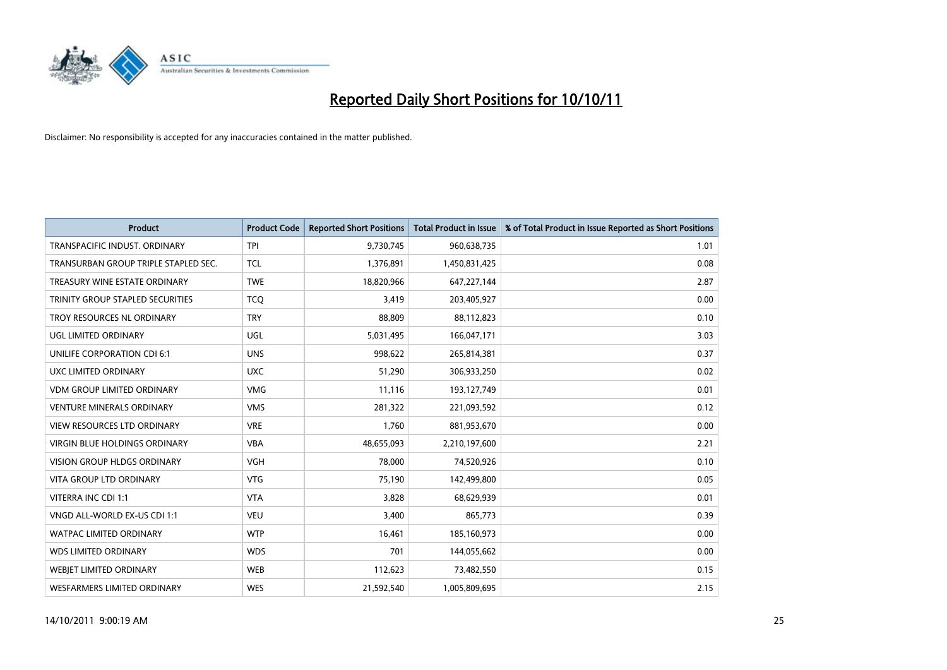

| <b>Product</b>                       | <b>Product Code</b> | <b>Reported Short Positions</b> | <b>Total Product in Issue</b> | % of Total Product in Issue Reported as Short Positions |
|--------------------------------------|---------------------|---------------------------------|-------------------------------|---------------------------------------------------------|
| TRANSPACIFIC INDUST, ORDINARY        | <b>TPI</b>          | 9,730,745                       | 960,638,735                   | 1.01                                                    |
| TRANSURBAN GROUP TRIPLE STAPLED SEC. | <b>TCL</b>          | 1,376,891                       | 1,450,831,425                 | 0.08                                                    |
| TREASURY WINE ESTATE ORDINARY        | <b>TWE</b>          | 18,820,966                      | 647,227,144                   | 2.87                                                    |
| TRINITY GROUP STAPLED SECURITIES     | <b>TCQ</b>          | 3,419                           | 203,405,927                   | 0.00                                                    |
| TROY RESOURCES NL ORDINARY           | <b>TRY</b>          | 88,809                          | 88,112,823                    | 0.10                                                    |
| UGL LIMITED ORDINARY                 | UGL                 | 5,031,495                       | 166,047,171                   | 3.03                                                    |
| UNILIFE CORPORATION CDI 6:1          | <b>UNS</b>          | 998,622                         | 265,814,381                   | 0.37                                                    |
| UXC LIMITED ORDINARY                 | <b>UXC</b>          | 51,290                          | 306,933,250                   | 0.02                                                    |
| <b>VDM GROUP LIMITED ORDINARY</b>    | <b>VMG</b>          | 11,116                          | 193,127,749                   | 0.01                                                    |
| <b>VENTURE MINERALS ORDINARY</b>     | <b>VMS</b>          | 281,322                         | 221,093,592                   | 0.12                                                    |
| VIEW RESOURCES LTD ORDINARY          | <b>VRE</b>          | 1,760                           | 881,953,670                   | 0.00                                                    |
| <b>VIRGIN BLUE HOLDINGS ORDINARY</b> | <b>VBA</b>          | 48,655,093                      | 2,210,197,600                 | 2.21                                                    |
| VISION GROUP HLDGS ORDINARY          | <b>VGH</b>          | 78,000                          | 74,520,926                    | 0.10                                                    |
| <b>VITA GROUP LTD ORDINARY</b>       | <b>VTG</b>          | 75,190                          | 142,499,800                   | 0.05                                                    |
| VITERRA INC CDI 1:1                  | <b>VTA</b>          | 3,828                           | 68,629,939                    | 0.01                                                    |
| VNGD ALL-WORLD EX-US CDI 1:1         | <b>VEU</b>          | 3,400                           | 865,773                       | 0.39                                                    |
| WATPAC LIMITED ORDINARY              | <b>WTP</b>          | 16,461                          | 185,160,973                   | 0.00                                                    |
| WDS LIMITED ORDINARY                 | <b>WDS</b>          | 701                             | 144,055,662                   | 0.00                                                    |
| <b>WEBJET LIMITED ORDINARY</b>       | <b>WEB</b>          | 112,623                         | 73,482,550                    | 0.15                                                    |
| WESFARMERS LIMITED ORDINARY          | <b>WES</b>          | 21,592,540                      | 1,005,809,695                 | 2.15                                                    |